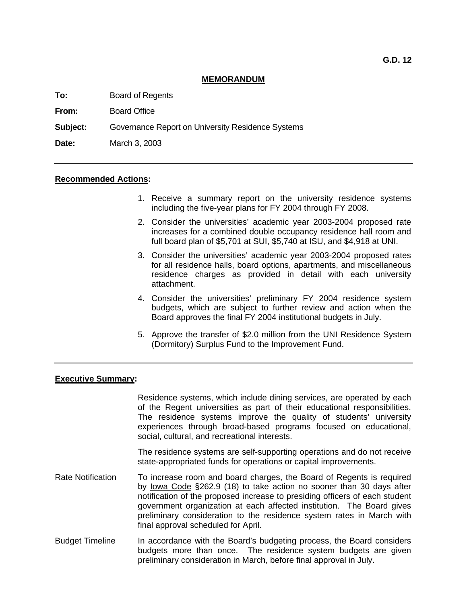#### **MEMORANDUM**

**To:** Board of Regents

**From:** Board Office

**Subject:** Governance Report on University Residence Systems

**Date:** March 3, 2003

#### **Recommended Actions:**

- 1. Receive a summary report on the university residence systems including the five-year plans for FY 2004 through FY 2008.
- 2. Consider the universities' academic year 2003-2004 proposed rate increases for a combined double occupancy residence hall room and full board plan of \$5,701 at SUI, \$5,740 at ISU, and \$4,918 at UNI.
- 3. Consider the universities' academic year 2003-2004 proposed rates for all residence halls, board options, apartments, and miscellaneous residence charges as provided in detail with each university attachment.
- 4. Consider the universities' preliminary FY 2004 residence system budgets, which are subject to further review and action when the Board approves the final FY 2004 institutional budgets in July.
- 5. Approve the transfer of \$2.0 million from the UNI Residence System (Dormitory) Surplus Fund to the Improvement Fund.

#### **Executive Summary:**

|                          | Residence systems, which include dining services, are operated by each<br>of the Regent universities as part of their educational responsibilities.<br>The residence systems improve the quality of students' university<br>experiences through broad-based programs focused on educational,<br>social, cultural, and recreational interests.                                                                        |
|--------------------------|----------------------------------------------------------------------------------------------------------------------------------------------------------------------------------------------------------------------------------------------------------------------------------------------------------------------------------------------------------------------------------------------------------------------|
|                          | The residence systems are self-supporting operations and do not receive<br>state-appropriated funds for operations or capital improvements.                                                                                                                                                                                                                                                                          |
| <b>Rate Notification</b> | To increase room and board charges, the Board of Regents is required<br>by lowa Code §262.9 (18) to take action no sooner than 30 days after<br>notification of the proposed increase to presiding officers of each student<br>government organization at each affected institution. The Board gives<br>preliminary consideration to the residence system rates in March with<br>final approval scheduled for April. |
| <b>Budget Timeline</b>   | In accordance with the Board's budgeting process, the Board considers                                                                                                                                                                                                                                                                                                                                                |

budgets more than once. The residence system budgets are given preliminary consideration in March, before final approval in July.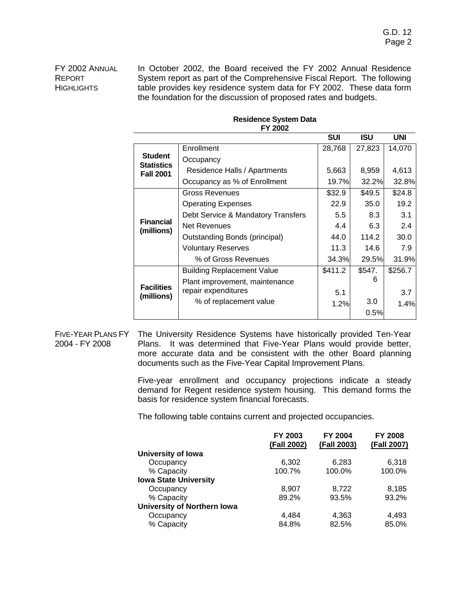### FY 2002 ANNUAL REPORT **HIGHLIGHTS**

In October 2002, the Board received the FY 2002 Annual Residence System report as part of the Comprehensive Fiscal Report. The following table provides key residence system data for FY 2002. These data form the foundation for the discussion of proposed rates and budgets.

|                                     |                                      | SUI           | ISU    | UNI     |
|-------------------------------------|--------------------------------------|---------------|--------|---------|
|                                     | Enrollment                           | 28,768        | 27,823 | 14,070  |
| <b>Student</b><br><b>Statistics</b> | Occupancy                            |               |        |         |
| <b>Fall 2001</b>                    | Residence Halls / Apartments         | 5,663         | 8,959  | 4,613   |
|                                     | Occupancy as % of Enrollment         | 19.7%         | 32.2%  | 32.8%   |
|                                     | Gross Revenues                       | \$32.9        | \$49.5 | \$24.8  |
|                                     | <b>Operating Expenses</b>            | 22.9          | 35.0   | 19.2    |
|                                     | Debt Service & Mandatory Transfers   | $5.5^{\circ}$ | 8.3    | 3.1     |
| <b>Financial</b><br>(millions)      | <b>Net Revenues</b>                  | 4.4           | 6.3    | 2.4     |
|                                     | <b>Outstanding Bonds (principal)</b> | 44.0          | 114.2  | 30.0    |
|                                     | <b>Voluntary Reserves</b>            | 11.3          | 14.6   | 7.9     |
|                                     | % of Gross Revenues                  | 34.3%         | 29.5%  | 31.9%   |
|                                     | <b>Building Replacement Value</b>    | \$411.2       | \$547. | \$256.7 |
| <b>Facilities</b>                   | Plant improvement, maintenance       |               | 6      |         |
| (millions)                          | repair expenditures                  | 5.1           |        | 3.7     |
|                                     | % of replacement value               | 1.2%          | 3.0    | 1.4%    |
|                                     |                                      |               | 0.5%   |         |

#### **Residence System Data FY 2002**

FIVE-YEAR PLANS FY 2004 - FY 2008 The University Residence Systems have historically provided Ten-Year Plans. It was determined that Five-Year Plans would provide better, more accurate data and be consistent with the other Board planning documents such as the Five-Year Capital Improvement Plans.

> Five-year enrollment and occupancy projections indicate a steady demand for Regent residence system housing. This demand forms the basis for residence system financial forecasts.

The following table contains current and projected occupancies.

|                                    | FY 2003<br>(Fall 2002) | <b>FY 2004</b><br>(Fall 2003) | <b>FY 2008</b><br>(Fall 2007) |
|------------------------------------|------------------------|-------------------------------|-------------------------------|
| <b>University of lowa</b>          |                        |                               |                               |
| Occupancy                          | 6,302                  | 6,283                         | 6.318                         |
| % Capacity                         | 100.7%                 | 100.0%                        | 100.0%                        |
| <b>Iowa State University</b>       |                        |                               |                               |
| Occupancy                          | 8,907                  | 8,722                         | 8,185                         |
| % Capacity                         | 89.2%                  | 93.5%                         | 93.2%                         |
| <b>University of Northern Iowa</b> |                        |                               |                               |
| Occupancy                          | 4.484                  | 4,363                         | 4.493                         |
| % Capacity                         | 84.8%                  | 82.5%                         | 85.0%                         |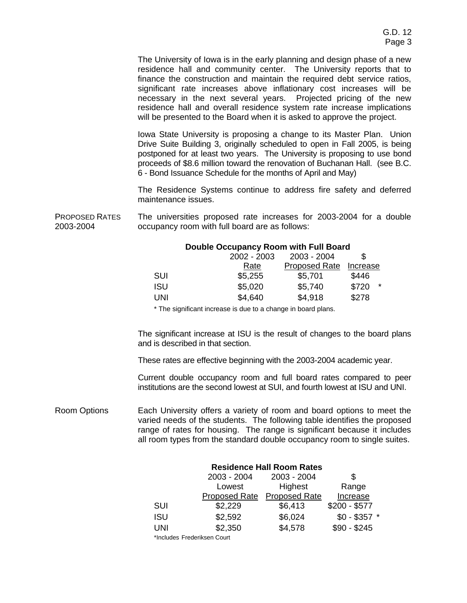The University of Iowa is in the early planning and design phase of a new residence hall and community center. The University reports that to finance the construction and maintain the required debt service ratios, significant rate increases above inflationary cost increases will be necessary in the next several years. Projected pricing of the new residence hall and overall residence system rate increase implications will be presented to the Board when it is asked to approve the project.

Iowa State University is proposing a change to its Master Plan. Union Drive Suite Building 3, originally scheduled to open in Fall 2005, is being postponed for at least two years. The University is proposing to use bond proceeds of \$8.6 million toward the renovation of Buchanan Hall. (see B.C. 6 - Bond Issuance Schedule for the months of April and May)

The Residence Systems continue to address fire safety and deferred maintenance issues.

PROPOSED RATES 2003-2004 The universities proposed rate increases for 2003-2004 for a double occupancy room with full board are as follows:

#### **Double Occupancy Room with Full Board**

| 2002 - 2003 | 2003 - 2004          |          |  |
|-------------|----------------------|----------|--|
| Rate        | <b>Proposed Rate</b> | Increase |  |
| \$5,255     | \$5,701              | \$446    |  |
| \$5,020     | \$5.740              | \$720    |  |
| \$4,640     | \$4,918              | \$278    |  |
|             |                      |          |  |

\* The significant increase is due to a change in board plans.

 The significant increase at ISU is the result of changes to the board plans and is described in that section.

These rates are effective beginning with the 2003-2004 academic year.

Current double occupancy room and full board rates compared to peer institutions are the second lowest at SUI, and fourth lowest at ISU and UNI.

Room Options Each University offers a variety of room and board options to meet the varied needs of the students. The following table identifies the proposed range of rates for housing. The range is significant because it includes all room types from the standard double occupancy room to single suites.

| <b>Residence Hall Room Rates</b> |                      |                      |               |  |  |  |
|----------------------------------|----------------------|----------------------|---------------|--|--|--|
|                                  | 2003 - 2004          | 2003 - 2004          | S             |  |  |  |
|                                  | Lowest               | Highest              | Range         |  |  |  |
|                                  | <b>Proposed Rate</b> | <b>Proposed Rate</b> | Increase      |  |  |  |
| SUI                              | \$2,229              | \$6,413              | $$200 - $577$ |  |  |  |
| <b>ISU</b>                       | \$2,592              | \$6,024              | $$0 - $357$ * |  |  |  |
| <b>UNI</b>                       | \$2,350              | \$4,578              | $$90 - $245$  |  |  |  |
| *Ingludes Erederiksen Court      |                      |                      |               |  |  |  |

Includes Frederiksen Court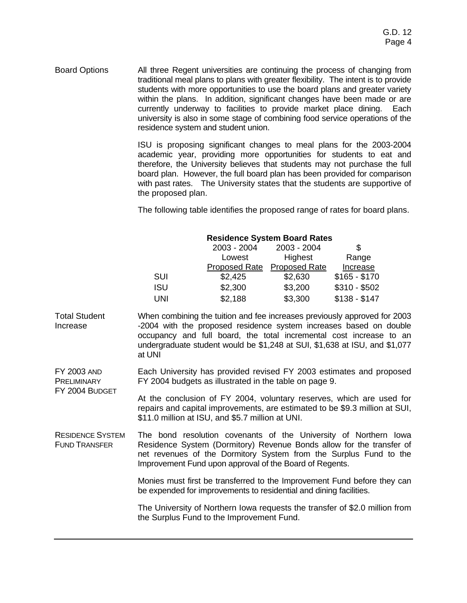Board Options All three Regent universities are continuing the process of changing from traditional meal plans to plans with greater flexibility. The intent is to provide students with more opportunities to use the board plans and greater variety within the plans. In addition, significant changes have been made or are currently underway to facilities to provide market place dining. Each university is also in some stage of combining food service operations of the residence system and student union.

> ISU is proposing significant changes to meal plans for the 2003-2004 academic year, providing more opportunities for students to eat and therefore, the University believes that students may not purchase the full board plan. However, the full board plan has been provided for comparison with past rates. The University states that the students are supportive of the proposed plan.

> The following table identifies the proposed range of rates for board plans.

|                                                                                                                                                                                                         |             |                      | <b>Residence System Board Rates</b>                                                                                                                                                                                                                                                                                                                                                                                                                                                                                                                                                                                                                                                                                                                                                                                                                                             |  |  |  |
|---------------------------------------------------------------------------------------------------------------------------------------------------------------------------------------------------------|-------------|----------------------|---------------------------------------------------------------------------------------------------------------------------------------------------------------------------------------------------------------------------------------------------------------------------------------------------------------------------------------------------------------------------------------------------------------------------------------------------------------------------------------------------------------------------------------------------------------------------------------------------------------------------------------------------------------------------------------------------------------------------------------------------------------------------------------------------------------------------------------------------------------------------------|--|--|--|
|                                                                                                                                                                                                         | 2003 - 2004 | 2003 - 2004          | \$                                                                                                                                                                                                                                                                                                                                                                                                                                                                                                                                                                                                                                                                                                                                                                                                                                                                              |  |  |  |
|                                                                                                                                                                                                         | Lowest      | Highest              | Range                                                                                                                                                                                                                                                                                                                                                                                                                                                                                                                                                                                                                                                                                                                                                                                                                                                                           |  |  |  |
|                                                                                                                                                                                                         |             | <b>Proposed Rate</b> | Increase                                                                                                                                                                                                                                                                                                                                                                                                                                                                                                                                                                                                                                                                                                                                                                                                                                                                        |  |  |  |
| <b>SUI</b>                                                                                                                                                                                              | \$2,425     | \$2,630              | $$165 - $170$                                                                                                                                                                                                                                                                                                                                                                                                                                                                                                                                                                                                                                                                                                                                                                                                                                                                   |  |  |  |
| <b>ISU</b>                                                                                                                                                                                              | \$2,300     | \$3,200              | $$310 - $502$                                                                                                                                                                                                                                                                                                                                                                                                                                                                                                                                                                                                                                                                                                                                                                                                                                                                   |  |  |  |
| <b>UNI</b>                                                                                                                                                                                              | \$2,188     | \$3,300              | $$138 - $147$                                                                                                                                                                                                                                                                                                                                                                                                                                                                                                                                                                                                                                                                                                                                                                                                                                                                   |  |  |  |
| at UNI                                                                                                                                                                                                  |             |                      |                                                                                                                                                                                                                                                                                                                                                                                                                                                                                                                                                                                                                                                                                                                                                                                                                                                                                 |  |  |  |
| Each University has provided revised FY 2003 estimates and proposed<br>FY 2004 budgets as illustrated in the table on page 9.                                                                           |             |                      |                                                                                                                                                                                                                                                                                                                                                                                                                                                                                                                                                                                                                                                                                                                                                                                                                                                                                 |  |  |  |
| At the conclusion of FY 2004, voluntary reserves, which are used for<br>repairs and capital improvements, are estimated to be \$9.3 million at SUI,<br>\$11.0 million at ISU, and \$5.7 million at UNI. |             |                      |                                                                                                                                                                                                                                                                                                                                                                                                                                                                                                                                                                                                                                                                                                                                                                                                                                                                                 |  |  |  |
|                                                                                                                                                                                                         |             |                      |                                                                                                                                                                                                                                                                                                                                                                                                                                                                                                                                                                                                                                                                                                                                                                                                                                                                                 |  |  |  |
|                                                                                                                                                                                                         |             |                      |                                                                                                                                                                                                                                                                                                                                                                                                                                                                                                                                                                                                                                                                                                                                                                                                                                                                                 |  |  |  |
|                                                                                                                                                                                                         |             |                      |                                                                                                                                                                                                                                                                                                                                                                                                                                                                                                                                                                                                                                                                                                                                                                                                                                                                                 |  |  |  |
|                                                                                                                                                                                                         |             |                      | Proposed Rate<br>When combining the tuition and fee increases previously approved for 2003<br>-2004 with the proposed residence system increases based on double<br>occupancy and full board, the total incremental cost increase to an<br>undergraduate student would be \$1,248 at SUI, \$1,638 at ISU, and \$1,077<br>The bond resolution covenants of the University of Northern lowa<br>Residence System (Dormitory) Revenue Bonds allow for the transfer of<br>net revenues of the Dormitory System from the Surplus Fund to the<br>Improvement Fund upon approval of the Board of Regents.<br>Monies must first be transferred to the Improvement Fund before they can<br>be expended for improvements to residential and dining facilities.<br>The University of Northern Iowa requests the transfer of \$2.0 million from<br>the Surplus Fund to the Improvement Fund. |  |  |  |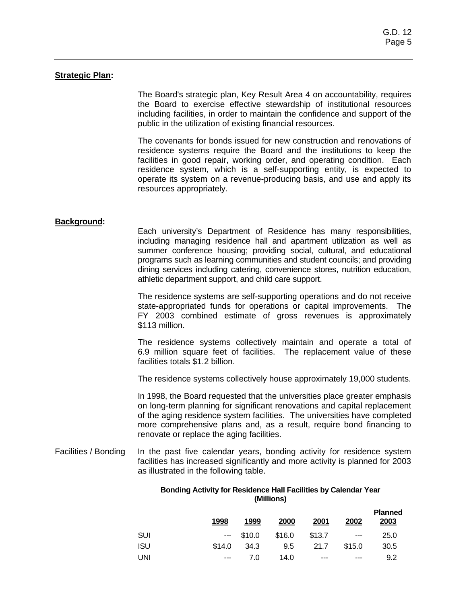## **Strategic Plan:**

 The Board's strategic plan, Key Result Area 4 on accountability, requires the Board to exercise effective stewardship of institutional resources including facilities, in order to maintain the confidence and support of the public in the utilization of existing financial resources.

The covenants for bonds issued for new construction and renovations of residence systems require the Board and the institutions to keep the facilities in good repair, working order, and operating condition. Each residence system, which is a self-supporting entity, is expected to operate its system on a revenue-producing basis, and use and apply its resources appropriately.

#### **Background:**

 Each university's Department of Residence has many responsibilities, including managing residence hall and apartment utilization as well as summer conference housing; providing social, cultural, and educational programs such as learning communities and student councils; and providing dining services including catering, convenience stores, nutrition education, athletic department support, and child care support.

The residence systems are self-supporting operations and do not receive state-appropriated funds for operations or capital improvements. The FY 2003 combined estimate of gross revenues is approximately \$113 million.

The residence systems collectively maintain and operate a total of 6.9 million square feet of facilities. The replacement value of these facilities totals \$1.2 billion.

The residence systems collectively house approximately 19,000 students.

 In 1998, the Board requested that the universities place greater emphasis on long-term planning for significant renovations and capital replacement of the aging residence system facilities. The universities have completed more comprehensive plans and, as a result, require bond financing to renovate or replace the aging facilities.

Facilities / Bonding In the past five calendar years, bonding activity for residence system facilities has increased significantly and more activity is planned for 2003 as illustrated in the following table.

#### **Bonding Activity for Residence Hall Facilities by Calendar Year (Millions)**

|            | 1998                   | 1999   | 2000   | 2001    | 2002                      | <b>Planned</b><br>2003 |
|------------|------------------------|--------|--------|---------|---------------------------|------------------------|
| <b>SUI</b> | $\qquad \qquad \cdots$ | \$10.0 | \$16.0 | \$13.7  | $\qquad \qquad -\qquad -$ | 25.0                   |
| <b>ISU</b> | \$14.0                 | 34.3   | 9.5    | 21.7    | \$15.0                    | 30.5                   |
| <b>UNI</b> | $---$                  | 7.0    | 14.0   | $- - -$ | $---$                     | 9.2                    |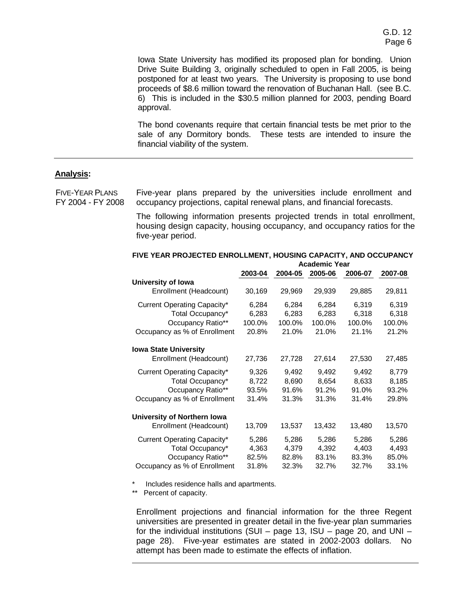Iowa State University has modified its proposed plan for bonding. Union Drive Suite Building 3, originally scheduled to open in Fall 2005, is being postponed for at least two years. The University is proposing to use bond proceeds of \$8.6 million toward the renovation of Buchanan Hall. (see B.C. 6) This is included in the \$30.5 million planned for 2003, pending Board approval.

The bond covenants require that certain financial tests be met prior to the sale of any Dormitory bonds. These tests are intended to insure the financial viability of the system.

#### **Analysis:**

FIVE-YEAR PLANS FY 2004 - FY 2008 Five-year plans prepared by the universities include enrollment and occupancy projections, capital renewal plans, and financial forecasts.

> The following information presents projected trends in total enrollment, housing design capacity, housing occupancy, and occupancy ratios for the five-year period.

|                                    |         | <b>Academic Year</b> |         |         |         |
|------------------------------------|---------|----------------------|---------|---------|---------|
|                                    | 2003-04 | 2004-05              | 2005-06 | 2006-07 | 2007-08 |
| <b>University of Iowa</b>          |         |                      |         |         |         |
| Enrollment (Headcount)             | 30,169  | 29,969               | 29,939  | 29,885  | 29,811  |
| <b>Current Operating Capacity*</b> | 6,284   | 6,284                | 6,284   | 6,319   | 6,319   |
| Total Occupancy*                   | 6,283   | 6,283                | 6,283   | 6,318   | 6,318   |
| Occupancy Ratio**                  | 100.0%  | 100.0%               | 100.0%  | 100.0%  | 100.0%  |
| Occupancy as % of Enrollment       | 20.8%   | 21.0%                | 21.0%   | 21.1%   | 21.2%   |
| <b>Iowa State University</b>       |         |                      |         |         |         |
| Enrollment (Headcount)             | 27,736  | 27,728               | 27,614  | 27,530  | 27,485  |
| <b>Current Operating Capacity*</b> | 9,326   | 9,492                | 9,492   | 9,492   | 8,779   |
| Total Occupancy*                   | 8,722   | 8,690                | 8,654   | 8,633   | 8,185   |
| Occupancy Ratio**                  | 93.5%   | 91.6%                | 91.2%   | 91.0%   | 93.2%   |
| Occupancy as % of Enrollment       | 31.4%   | 31.3%                | 31.3%   | 31.4%   | 29.8%   |
| University of Northern Iowa        |         |                      |         |         |         |
| Enrollment (Headcount)             | 13,709  | 13,537               | 13,432  | 13,480  | 13,570  |
| Current Operating Capacity*        | 5,286   | 5,286                | 5,286   | 5,286   | 5,286   |
| Total Occupancy*                   | 4,363   | 4,379                | 4,392   | 4,403   | 4,493   |
| Occupancy Ratio**                  | 82.5%   | 82.8%                | 83.1%   | 83.3%   | 85.0%   |
| Occupancy as % of Enrollment       | 31.8%   | 32.3%                | 32.7%   | 32.7%   | 33.1%   |

**FIVE YEAR PROJECTED ENROLLMENT, HOUSING CAPACITY, AND OCCUPANCY**

Includes residence halls and apartments.

\*\* Percent of capacity.

 Enrollment projections and financial information for the three Regent universities are presented in greater detail in the five-year plan summaries for the individual institutions (SUI – page 13,  $ISU$  – page 20, and UNI – page 28). Five-year estimates are stated in 2002-2003 dollars. No attempt has been made to estimate the effects of inflation.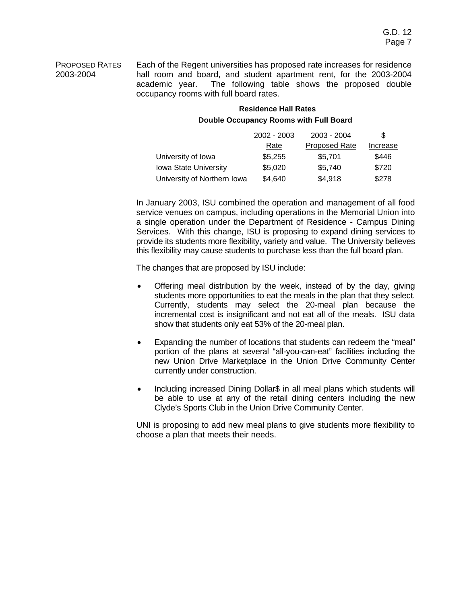### PROPOSED RATES 2003-2004

Each of the Regent universities has proposed rate increases for residence hall room and board, and student apartment rent, for the 2003-2004 academic year. The following table shows the proposed double occupancy rooms with full board rates.

## **Double Occupancy Rooms with Full Board Residence Hall Rates**

|                              | 2002 - 2003 | 2003 - 2004   | S        |
|------------------------------|-------------|---------------|----------|
|                              | Rate        | Proposed Rate | Increase |
| University of Iowa           | \$5,255     | \$5,701       | \$446    |
| <b>Iowa State University</b> | \$5,020     | \$5,740       | \$720    |
| University of Northern Iowa  | \$4,640     | \$4,918       | \$278    |

 In January 2003, ISU combined the operation and management of all food service venues on campus, including operations in the Memorial Union into a single operation under the Department of Residence - Campus Dining Services. With this change, ISU is proposing to expand dining services to provide its students more flexibility, variety and value. The University believes this flexibility may cause students to purchase less than the full board plan.

The changes that are proposed by ISU include:

- Offering meal distribution by the week, instead of by the day, giving students more opportunities to eat the meals in the plan that they select. Currently, students may select the 20-meal plan because the incremental cost is insignificant and not eat all of the meals. ISU data show that students only eat 53% of the 20-meal plan.
- Expanding the number of locations that students can redeem the "meal" portion of the plans at several "all-you-can-eat" facilities including the new Union Drive Marketplace in the Union Drive Community Center currently under construction.
- Including increased Dining Dollar\$ in all meal plans which students will be able to use at any of the retail dining centers including the new Clyde's Sports Club in the Union Drive Community Center.

UNI is proposing to add new meal plans to give students more flexibility to choose a plan that meets their needs.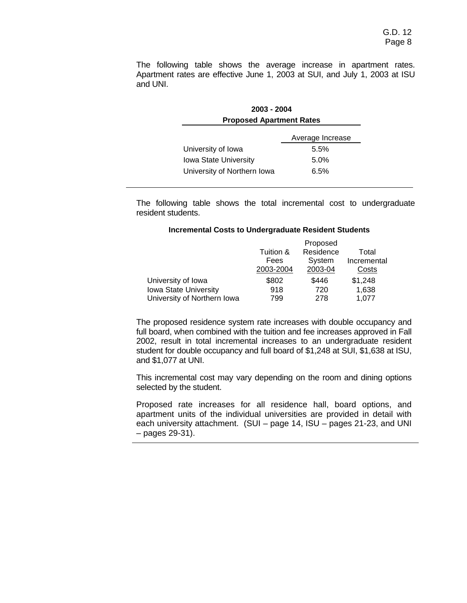The following table shows the average increase in apartment rates. Apartment rates are effective June 1, 2003 at SUI, and July 1, 2003 at ISU and UNI.

| 2003 - 2004<br><b>Proposed Apartment Rates</b> |                  |
|------------------------------------------------|------------------|
|                                                | Average Increase |
| University of Iowa                             | 5.5%             |
| <b>Iowa State University</b>                   | 5.0%             |
| University of Northern Iowa                    | 6.5%             |

 The following table shows the total incremental cost to undergraduate resident students.

#### **Incremental Costs to Undergraduate Resident Students**

|                             |           | Proposed  |             |
|-----------------------------|-----------|-----------|-------------|
|                             | Tuition & | Residence | Total       |
|                             | Fees      | System    | Incremental |
|                             | 2003-2004 | 2003-04   | Costs       |
| University of Iowa          | \$802     | \$446     | \$1,248     |
| Iowa State University       | 918       | 720       | 1,638       |
| University of Northern Iowa | 799       | 278       | 1,077       |

 The proposed residence system rate increases with double occupancy and full board, when combined with the tuition and fee increases approved in Fall 2002, result in total incremental increases to an undergraduate resident student for double occupancy and full board of \$1,248 at SUI, \$1,638 at ISU, and \$1,077 at UNI.

This incremental cost may vary depending on the room and dining options selected by the student.

Proposed rate increases for all residence hall, board options, and apartment units of the individual universities are provided in detail with each university attachment. (SUI – page 14, ISU – pages 21-23, and UNI – pages 29-31).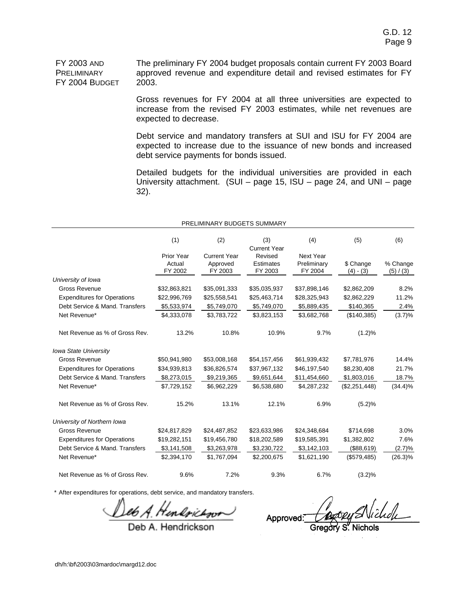FY 2003 AND **PRELIMINARY** FY 2004 BUDGET The preliminary FY 2004 budget proposals contain current FY 2003 Board approved revenue and expenditure detail and revised estimates for FY 2003.

Gross revenues for FY 2004 at all three universities are expected to increase from the revised FY 2003 estimates, while net revenues are expected to decrease.

Debt service and mandatory transfers at SUI and ISU for FY 2004 are expected to increase due to the issuance of new bonds and increased debt service payments for bonds issued.

Detailed budgets for the individual universities are provided in each University attachment. (SUI – page 15, ISU – page 24, and UNI – page 32).

|                                    | (1)          | (2)                             | (3)                  | (4)                             | (5)           | (6)        |
|------------------------------------|--------------|---------------------------------|----------------------|---------------------------------|---------------|------------|
|                                    | Prior Year   |                                 | <b>Current Year</b>  |                                 |               |            |
|                                    | Actual       | <b>Current Year</b><br>Approved | Revised<br>Estimates | <b>Next Year</b><br>Preliminary | \$ Change     | % Change   |
|                                    | FY 2002      | FY 2003                         | FY 2003              | FY 2004                         | $(4) - (3)$   | (5) / (3)  |
| University of Iowa                 |              |                                 |                      |                                 |               |            |
| <b>Gross Revenue</b>               | \$32,863,821 | \$35,091,333                    | \$35,035,937         | \$37,898,146                    | \$2,862,209   | 8.2%       |
| <b>Expenditures for Operations</b> | \$22,996,769 | \$25,558,541                    | \$25,463,714         | \$28,325,943                    | \$2,862,229   | 11.2%      |
| Debt Service & Mand. Transfers     | \$5,533,974  | \$5,749,070                     | \$5,749,070          | \$5,889,435                     | \$140,365     | 2.4%       |
| Net Revenue*                       | \$4,333,078  | \$3,783,722                     | \$3,823,153          | \$3,682,768                     | (\$140,385)   | (3.7)%     |
| Net Revenue as % of Gross Rev.     | 13.2%        | 10.8%                           | 10.9%                | 9.7%                            | (1.2)%        |            |
| <b>Iowa State University</b>       |              |                                 |                      |                                 |               |            |
| Gross Revenue                      | \$50,941,980 | \$53,008,168                    | \$54,157,456         | \$61,939,432                    | \$7,781,976   | 14.4%      |
| <b>Expenditures for Operations</b> | \$34,939,813 | \$36,826,574                    | \$37,967,132         | \$46,197,540                    | \$8,230,408   | 21.7%      |
| Debt Service & Mand. Transfers     | \$8,273,015  | \$9,219,365                     | \$9,651,644          | \$11,454,660                    | \$1,803,016   | 18.7%      |
| Net Revenue*                       | \$7,729,152  | \$6,962,229                     | \$6,538,680          | \$4,287,232                     | (\$2,251,448) | $(34.4)\%$ |
| Net Revenue as % of Gross Rev.     | 15.2%        | 13.1%                           | 12.1%                | 6.9%                            | (5.2)%        |            |
| University of Northern Iowa        |              |                                 |                      |                                 |               |            |
| <b>Gross Revenue</b>               | \$24,817,829 | \$24,487,852                    | \$23,633,986         | \$24,348,684                    | \$714,698     | 3.0%       |
| <b>Expenditures for Operations</b> | \$19,282,151 | \$19,456,780                    | \$18,202,589         | \$19,585,391                    | \$1,382,802   | 7.6%       |
| Debt Service & Mand. Transfers     | \$3,141,508  | \$3,263,978                     | \$3,230,722          | \$3,142,103                     | (\$88,619)    | (2.7)%     |
| Net Revenue*                       | \$2,394,170  | \$1,767,094                     | \$2,200,675          | \$1,621,190                     | (\$579,485)   | $(26.3)\%$ |
| Net Revenue as % of Gross Rev.     | 9.6%         | 7.2%                            | 9.3%                 | 6.7%                            | (3.2)%        |            |

PRELIMINARY BUDGETS SUMMARY

\* After expenditures for operations, debt service, and mandatory transfers.

eb A. Hendrichson Deb A. Hendrickson

Approved: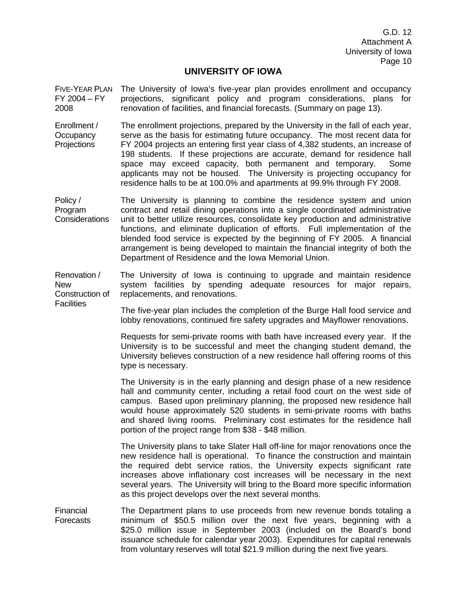G.D. 12 Attachment A University of Iowa Page 10

#### **UNIVERSITY OF IOWA**

FIVE-YEAR PLAN FY 2004 – FY 2008 The University of Iowa's five-year plan provides enrollment and occupancy projections, significant policy and program considerations, plans for renovation of facilities, and financial forecasts. (Summary on page 13).

Enrollment / **Occupancy Projections** The enrollment projections, prepared by the University in the fall of each year, serve as the basis for estimating future occupancy. The most recent data for FY 2004 projects an entering first year class of 4,382 students, an increase of 198 students. If these projections are accurate, demand for residence hall space may exceed capacity, both permanent and temporary. Some applicants may not be housed. The University is projecting occupancy for residence halls to be at 100.0% and apartments at 99.9% through FY 2008.

Policy / Program **Considerations** The University is planning to combine the residence system and union contract and retail dining operations into a single coordinated administrative unit to better utilize resources, consolidate key production and administrative functions, and eliminate duplication of efforts. Full implementation of the blended food service is expected by the beginning of FY 2005. A financial arrangement is being developed to maintain the financial integrity of both the Department of Residence and the Iowa Memorial Union.

Renovation / New Construction of **Facilities** The University of Iowa is continuing to upgrade and maintain residence system facilities by spending adequate resources for major repairs, replacements, and renovations.

The five-year plan includes the completion of the Burge Hall food service and lobby renovations, continued fire safety upgrades and Mayflower renovations.

Requests for semi-private rooms with bath have increased every year. If the University is to be successful and meet the changing student demand, the University believes construction of a new residence hall offering rooms of this type is necessary.

The University is in the early planning and design phase of a new residence hall and community center, including a retail food court on the west side of campus. Based upon preliminary planning, the proposed new residence hall would house approximately 520 students in semi-private rooms with baths and shared living rooms. Preliminary cost estimates for the residence hall portion of the project range from \$38 - \$48 million.

The University plans to take Slater Hall off-line for major renovations once the new residence hall is operational. To finance the construction and maintain the required debt service ratios, the University expects significant rate increases above inflationary cost increases will be necessary in the next several years. The University will bring to the Board more specific information as this project develops over the next several months.

Financial **Forecasts** The Department plans to use proceeds from new revenue bonds totaling a minimum of \$50.5 million over the next five years, beginning with a \$25.0 million issue in September 2003 (included on the Board's bond issuance schedule for calendar year 2003). Expenditures for capital renewals from voluntary reserves will total \$21.9 million during the next five years.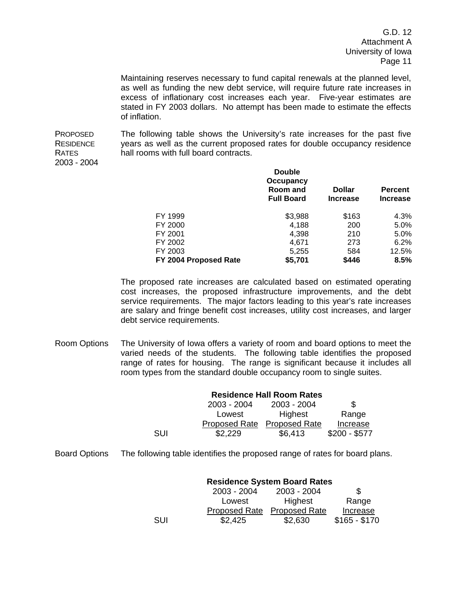Maintaining reserves necessary to fund capital renewals at the planned level, as well as funding the new debt service, will require future rate increases in excess of inflationary cost increases each year. Five-year estimates are stated in FY 2003 dollars. No attempt has been made to estimate the effects of inflation.

PROPOSED **RESIDENCE** RATES 2003 - 2004 The following table shows the University's rate increases for the past five years as well as the current proposed rates for double occupancy residence hall rooms with full board contracts.

|                       | <b>Double</b><br>Occupancy<br>Room and<br><b>Full Board</b> | <b>Dollar</b><br><b>Increase</b> | <b>Percent</b><br><b>Increase</b> |
|-----------------------|-------------------------------------------------------------|----------------------------------|-----------------------------------|
| FY 1999               | \$3,988                                                     | \$163                            | 4.3%                              |
| FY 2000               | 4,188                                                       | 200                              | 5.0%                              |
| FY 2001               | 4,398                                                       | 210                              | 5.0%                              |
| FY 2002               | 4,671                                                       | 273                              | 6.2%                              |
| FY 2003               | 5,255                                                       | 584                              | 12.5%                             |
| FY 2004 Proposed Rate | \$5,701                                                     | \$446                            | 8.5%                              |

 The proposed rate increases are calculated based on estimated operating cost increases, the proposed infrastructure improvements, and the debt service requirements. The major factors leading to this year's rate increases are salary and fringe benefit cost increases, utility cost increases, and larger debt service requirements.

Room Options The University of Iowa offers a variety of room and board options to meet the varied needs of the students. The following table identifies the proposed range of rates for housing. The range is significant because it includes all room types from the standard double occupancy room to single suites.

|     |                             | <b>Residence Hall Room Rates</b> |               |
|-----|-----------------------------|----------------------------------|---------------|
|     | 2003 - 2004                 | 2003 - 2004                      | \$.           |
|     | Lowest                      | Highest                          | Range         |
|     | Proposed Rate Proposed Rate |                                  | Increase      |
| SUI | \$2.229                     | \$6,413                          | $$200 - $577$ |

Board Options The following table identifies the proposed range of rates for board plans.

| <b>Residence System Board Rates</b> |                      |                      |               |
|-------------------------------------|----------------------|----------------------|---------------|
|                                     | 2003 - 2004          | 2003 - 2004          | S             |
|                                     | Lowest               | Highest              | Range         |
|                                     | <b>Proposed Rate</b> | <b>Proposed Rate</b> | Increase      |
| SUI                                 | \$2,425              | \$2,630              | $$165 - $170$ |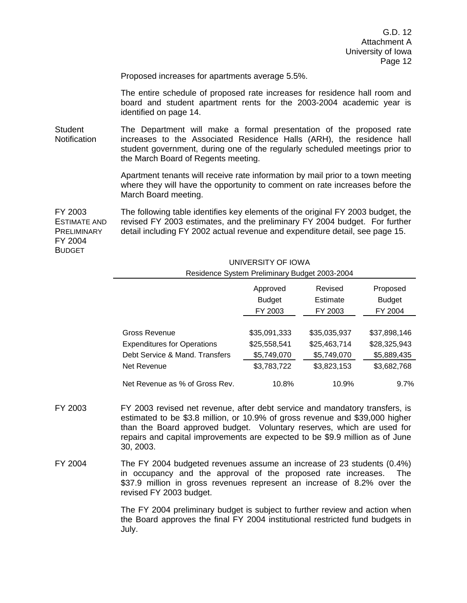Proposed increases for apartments average 5.5%.

The entire schedule of proposed rate increases for residence hall room and board and student apartment rents for the 2003-2004 academic year is identified on page 14.

**Student Notification** The Department will make a formal presentation of the proposed rate increases to the Associated Residence Halls (ARH), the residence hall student government, during one of the regularly scheduled meetings prior to the March Board of Regents meeting.

> Apartment tenants will receive rate information by mail prior to a town meeting where they will have the opportunity to comment on rate increases before the March Board meeting.

FY 2003 ESTIMATE AND **PRELIMINARY** FY 2004 The following table identifies key elements of the original FY 2003 budget, the revised FY 2003 estimates, and the preliminary FY 2004 budget. For further detail including FY 2002 actual revenue and expenditure detail, see page 15.

BUDGET

UNIVERSITY OF IOWA

|  |  | Residence System Preliminary Budget 2003-2004 |
|--|--|-----------------------------------------------|
|--|--|-----------------------------------------------|

|                                    | Approved      | Revised      | Proposed      |
|------------------------------------|---------------|--------------|---------------|
|                                    | <b>Budget</b> | Estimate     | <b>Budget</b> |
|                                    | FY 2003       | FY 2003      | FY 2004       |
| Gross Revenue                      | \$35,091,333  | \$35,035,937 | \$37,898,146  |
| <b>Expenditures for Operations</b> | \$25,558,541  | \$25,463,714 | \$28,325,943  |
| Debt Service & Mand. Transfers     | \$5,749,070   | \$5,749,070  | \$5,889,435   |
| Net Revenue                        | \$3,783,722   | \$3,823,153  | \$3,682,768   |
| Net Revenue as % of Gross Rev.     | 10.8%         | 10.9%        | $9.7\%$       |

- FY 2003 FY 2003 revised net revenue, after debt service and mandatory transfers, is estimated to be \$3.8 million, or 10.9% of gross revenue and \$39,000 higher than the Board approved budget. Voluntary reserves, which are used for repairs and capital improvements are expected to be \$9.9 million as of June 30, 2003.
- FY 2004 The FY 2004 budgeted revenues assume an increase of 23 students (0.4%) in occupancy and the approval of the proposed rate increases. The \$37.9 million in gross revenues represent an increase of 8.2% over the revised FY 2003 budget.

 The FY 2004 preliminary budget is subject to further review and action when the Board approves the final FY 2004 institutional restricted fund budgets in July.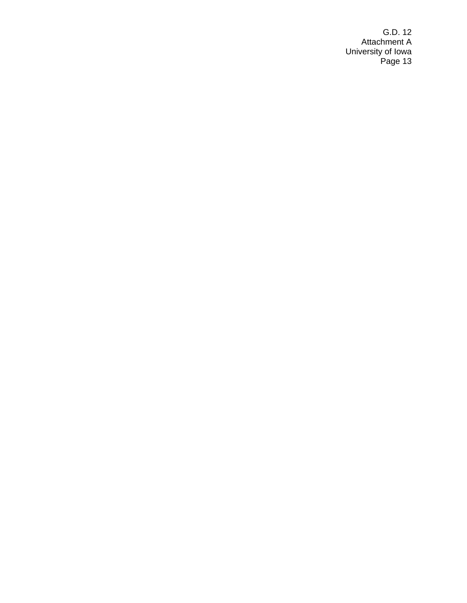G.D. 12 Attachment A University of Iowa Page 13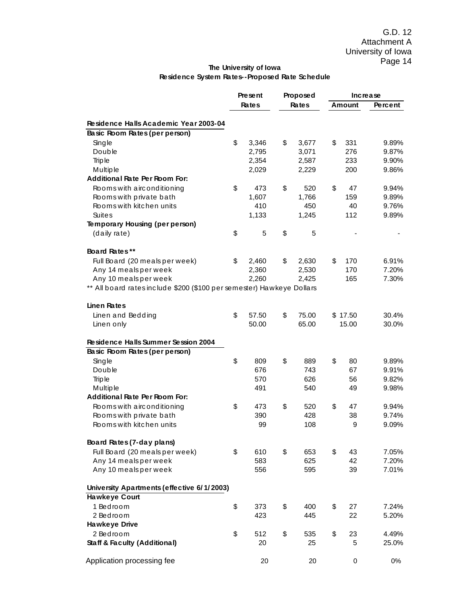#### **The University of Iowa Residence System Rates--Proposed Rate Schedule**

| <b>Rates</b><br><b>Rates</b><br>Amount                                   | <b>Percent</b> |
|--------------------------------------------------------------------------|----------------|
|                                                                          |                |
|                                                                          |                |
| Residence Halls Academic Year 2003-04                                    |                |
| Basic Room Rates (per person)<br>\$<br>\$<br>331                         |                |
| Single<br>\$<br>3,346<br>3,677<br>Double<br>276                          | 9.89%          |
| 2,795<br>3,071                                                           | 9.87%          |
| Trip le<br>2,354<br>2,587<br>233                                         | 9.90%          |
| Multiple<br>2,029<br>2,229<br>200<br>Additional Rate Per Room For:       | 9.86%          |
|                                                                          |                |
| \$<br>\$<br>\$<br>Rooms with airconditioning<br>520<br>47<br>473         | 9.94%          |
| Rooms with private bath<br>1,607<br>1,766<br>159                         | 9.89%          |
| Rooms with kitchen units<br>410<br>450<br>40                             | 9.76%          |
| <b>Suites</b><br>1,133<br>1,245<br>112                                   | 9.89%          |
| Temporary Housing (per person)                                           |                |
| \$<br>\$<br>5<br>(daily rate)<br>5                                       |                |
| Board Rates**                                                            |                |
| \$<br>\$<br>\$<br>170<br>Full Board (20 mealsper week)<br>2,460<br>2,630 | 6.91%          |
| 2,360<br>Any 14 mealsper week<br>2,530<br>170                            | 7.20%          |
| 2,260<br>Any 10 mealsper week<br>2,425<br>165                            | 7.30%          |
| ** All board rates include \$200 (\$100 per semester) Hawkeye Dollars    |                |
| Linen Rates                                                              |                |
|                                                                          |                |
| \$<br>\$<br>Linen and Bedding<br>57.50<br>75.00<br>\$17.50               | 30.4%          |
| 15.00<br>Linen only<br>50.00<br>65.00                                    | 30.0%          |
| Residence Halls Summer Session 2004                                      |                |
| Basic Room Rates (per person)                                            |                |
| \$<br>\$<br>\$<br>Single<br>889<br>809<br>80                             | 9.89%          |
| 743<br>67<br>Double<br>676                                               | 9.91%          |
| 570<br>626<br>56<br>Trip le                                              | 9.82%          |
| <b>Multiple</b><br>491<br>540<br>49                                      | 9.98%          |
| Additional Rate Per Room For:                                            |                |
| \$<br>\$<br>\$<br>Rooms with airconditioning<br>520<br>473<br>47         | 9.94%          |
| 428<br>38<br>Rooms with private bath<br>390                              | 9.74%          |
| Rooms with kitchen units<br>99<br>108<br>9                               | 9.09%          |
| Board Rates (7-day plans)                                                |                |
| \$<br>\$<br>\$<br>Full Board (20 mealsper week)<br>610<br>653<br>43      | 7.05%          |
| Any 14 mealsper week<br>625<br>42<br>583                                 | 7.20%          |
| Any 10 mealsper week<br>595<br>39<br>556                                 | 7.01%          |
|                                                                          |                |
| University Apartments (effective 6/1/2003)                               |                |
| <b>Hawkeye Court</b>                                                     |                |
| \$<br>\$<br>\$<br>1 Bedroom<br>373<br>400<br>27                          | 7.24%          |
| 22<br>2 Bedroom<br>423<br>445                                            | 5.20%          |
| Hawkeye Drive                                                            |                |
| \$<br>\$<br>\$<br>2 Bedroom<br>512<br>535<br>23                          | 4.49%          |
| Staff & Faculty (Additional)<br>20<br>5<br>25                            | 25.0%          |
| Application processing fee<br>20<br>20<br>0                              | 0%             |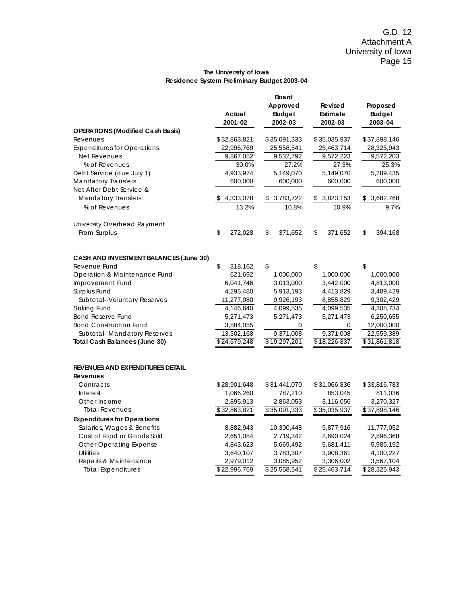#### **The University of Iowa Residence System Preliminary Budget 2003-04**

| Proposed<br>Approved<br><b>Revised</b><br>Actual<br><b>Budget</b><br><b>Budget</b><br><b>Estimate</b><br>2001-02<br>2002-03<br>2002-03<br>2003-04<br><b>OPERATIONS (Modified Cash Basis)</b><br>Revenues<br>\$32,863,821<br>\$35,091,333<br>\$35,035,937<br>\$37,898,146<br>Expenditures for Operations<br>22,996,769<br>25,558,541<br>25,463,714<br>28,325,943<br>Net Revenues<br>9,867,052<br>9,532,792<br>9,572,223<br>9,572,203<br>27.2%<br>% of Revenues<br>30.0%<br>27.3%<br>25.3%<br>Debt Service (due July 1)<br>4,933,974<br>5,149,070<br>5,149,070<br>5,289,435<br>Mandatory Transfers<br>600,000<br>600,000<br>600,000<br>600,000<br>Net After Debt Service &<br>Mandatory Transfers<br>\$3,682,768<br>4,333,078<br>3,783,722<br>3,823,153<br>\$<br>\$<br>\$<br>% of Revenues<br>13.2%<br>10.8%<br>10.9%<br>9.7%<br>University Overhead Payment<br>\$<br>From Surplus<br>\$<br>\$<br>\$<br>272,028<br>371,652<br>371,652<br>394,168<br>CASH AND INVESTMENT BALANCES (June 30)<br>\$<br>\$<br>\$<br>\$<br>Revenue Fund<br>318,162<br>Operation & Maintenance Fund<br>621,692<br>1,000,000<br>1,000,000<br>1,000,000<br>6,041,746<br>Improvement Fund<br>3,013,000<br>3,442,000<br>4,813,000<br>Surplus Fund<br>4,295,480<br>4,413,829<br>5,913,193<br>3,489,429<br>Subtotal--Voluntary Reserves<br>11,277,080<br>9,926,193<br>8,855,829<br>9,302,429<br>Sinking Fund<br>4,146,640<br>4,099,535<br>4,099,535<br>4,308,734<br>Bond Reserve Fund<br>5,271,473<br>5,271,473<br>5,271,473<br>6,250,655<br><b>Bond Construction Fund</b><br>12,000,000<br>3,884,055<br>0<br>0<br>Subtotal--Mandatory Reserves<br>13,302,168<br>9,371,008<br>9,371,008<br>22,559,389<br>Total Cash Balances (June 30)<br>\$24,579,248<br>\$19,297,201<br>\$18,226,837<br>\$31,861,818<br><b>REVENUES AND EXPENDITURES DETAIL</b><br><b>Revenues</b><br>\$28,901,648<br>\$31,441,070<br>\$31,066,836<br>\$33,816,783<br>Contracts<br>1,066,260<br>787,210<br>853,045<br>811,036<br>Interest<br>Other Income<br>2,895,913<br>2,863,053<br>3,116,056<br>3,270,327<br>Total Revenues<br>\$32,863,821<br>\$35,091,333<br>\$35,035,937<br>\$37,898,146<br><b>Expenditures for Operations</b><br>Salaries, Wages & Benefits<br>10,300,448<br>8,882,943<br>9,877,916<br>11,777,052<br>Cost of Food or Goods Sold<br>2,719,342<br>2,896,368<br>2,651,084<br>2,690,024<br>Other Operating Expense<br>4,843,623<br>5,669,492<br>5,681,411<br>5,985,192<br><b>Utilities</b><br>3,640,107<br>3,783,307<br>3,908,361<br>4,100,227<br>Repairs & Maintenance<br>2,979,012<br>3,085,952<br>3,306,002<br>3,567,104<br>\$25,463,714<br>Total Expenditures<br>\$22,996,769<br>\$25,558,541<br>\$28,325,943 |  | <b>Board</b> |  |
|---------------------------------------------------------------------------------------------------------------------------------------------------------------------------------------------------------------------------------------------------------------------------------------------------------------------------------------------------------------------------------------------------------------------------------------------------------------------------------------------------------------------------------------------------------------------------------------------------------------------------------------------------------------------------------------------------------------------------------------------------------------------------------------------------------------------------------------------------------------------------------------------------------------------------------------------------------------------------------------------------------------------------------------------------------------------------------------------------------------------------------------------------------------------------------------------------------------------------------------------------------------------------------------------------------------------------------------------------------------------------------------------------------------------------------------------------------------------------------------------------------------------------------------------------------------------------------------------------------------------------------------------------------------------------------------------------------------------------------------------------------------------------------------------------------------------------------------------------------------------------------------------------------------------------------------------------------------------------------------------------------------------------------------------------------------------------------------------------------------------------------------------------------------------------------------------------------------------------------------------------------------------------------------------------------------------------------------------------------------------------------------------------------------------------------------------------------------------------------------------------------------------------------------------------------------------------------------------------------------------------------------------------------------------------|--|--------------|--|
|                                                                                                                                                                                                                                                                                                                                                                                                                                                                                                                                                                                                                                                                                                                                                                                                                                                                                                                                                                                                                                                                                                                                                                                                                                                                                                                                                                                                                                                                                                                                                                                                                                                                                                                                                                                                                                                                                                                                                                                                                                                                                                                                                                                                                                                                                                                                                                                                                                                                                                                                                                                                                                                                           |  |              |  |
|                                                                                                                                                                                                                                                                                                                                                                                                                                                                                                                                                                                                                                                                                                                                                                                                                                                                                                                                                                                                                                                                                                                                                                                                                                                                                                                                                                                                                                                                                                                                                                                                                                                                                                                                                                                                                                                                                                                                                                                                                                                                                                                                                                                                                                                                                                                                                                                                                                                                                                                                                                                                                                                                           |  |              |  |
|                                                                                                                                                                                                                                                                                                                                                                                                                                                                                                                                                                                                                                                                                                                                                                                                                                                                                                                                                                                                                                                                                                                                                                                                                                                                                                                                                                                                                                                                                                                                                                                                                                                                                                                                                                                                                                                                                                                                                                                                                                                                                                                                                                                                                                                                                                                                                                                                                                                                                                                                                                                                                                                                           |  |              |  |
|                                                                                                                                                                                                                                                                                                                                                                                                                                                                                                                                                                                                                                                                                                                                                                                                                                                                                                                                                                                                                                                                                                                                                                                                                                                                                                                                                                                                                                                                                                                                                                                                                                                                                                                                                                                                                                                                                                                                                                                                                                                                                                                                                                                                                                                                                                                                                                                                                                                                                                                                                                                                                                                                           |  |              |  |
|                                                                                                                                                                                                                                                                                                                                                                                                                                                                                                                                                                                                                                                                                                                                                                                                                                                                                                                                                                                                                                                                                                                                                                                                                                                                                                                                                                                                                                                                                                                                                                                                                                                                                                                                                                                                                                                                                                                                                                                                                                                                                                                                                                                                                                                                                                                                                                                                                                                                                                                                                                                                                                                                           |  |              |  |
|                                                                                                                                                                                                                                                                                                                                                                                                                                                                                                                                                                                                                                                                                                                                                                                                                                                                                                                                                                                                                                                                                                                                                                                                                                                                                                                                                                                                                                                                                                                                                                                                                                                                                                                                                                                                                                                                                                                                                                                                                                                                                                                                                                                                                                                                                                                                                                                                                                                                                                                                                                                                                                                                           |  |              |  |
|                                                                                                                                                                                                                                                                                                                                                                                                                                                                                                                                                                                                                                                                                                                                                                                                                                                                                                                                                                                                                                                                                                                                                                                                                                                                                                                                                                                                                                                                                                                                                                                                                                                                                                                                                                                                                                                                                                                                                                                                                                                                                                                                                                                                                                                                                                                                                                                                                                                                                                                                                                                                                                                                           |  |              |  |
|                                                                                                                                                                                                                                                                                                                                                                                                                                                                                                                                                                                                                                                                                                                                                                                                                                                                                                                                                                                                                                                                                                                                                                                                                                                                                                                                                                                                                                                                                                                                                                                                                                                                                                                                                                                                                                                                                                                                                                                                                                                                                                                                                                                                                                                                                                                                                                                                                                                                                                                                                                                                                                                                           |  |              |  |
|                                                                                                                                                                                                                                                                                                                                                                                                                                                                                                                                                                                                                                                                                                                                                                                                                                                                                                                                                                                                                                                                                                                                                                                                                                                                                                                                                                                                                                                                                                                                                                                                                                                                                                                                                                                                                                                                                                                                                                                                                                                                                                                                                                                                                                                                                                                                                                                                                                                                                                                                                                                                                                                                           |  |              |  |
|                                                                                                                                                                                                                                                                                                                                                                                                                                                                                                                                                                                                                                                                                                                                                                                                                                                                                                                                                                                                                                                                                                                                                                                                                                                                                                                                                                                                                                                                                                                                                                                                                                                                                                                                                                                                                                                                                                                                                                                                                                                                                                                                                                                                                                                                                                                                                                                                                                                                                                                                                                                                                                                                           |  |              |  |
|                                                                                                                                                                                                                                                                                                                                                                                                                                                                                                                                                                                                                                                                                                                                                                                                                                                                                                                                                                                                                                                                                                                                                                                                                                                                                                                                                                                                                                                                                                                                                                                                                                                                                                                                                                                                                                                                                                                                                                                                                                                                                                                                                                                                                                                                                                                                                                                                                                                                                                                                                                                                                                                                           |  |              |  |
|                                                                                                                                                                                                                                                                                                                                                                                                                                                                                                                                                                                                                                                                                                                                                                                                                                                                                                                                                                                                                                                                                                                                                                                                                                                                                                                                                                                                                                                                                                                                                                                                                                                                                                                                                                                                                                                                                                                                                                                                                                                                                                                                                                                                                                                                                                                                                                                                                                                                                                                                                                                                                                                                           |  |              |  |
|                                                                                                                                                                                                                                                                                                                                                                                                                                                                                                                                                                                                                                                                                                                                                                                                                                                                                                                                                                                                                                                                                                                                                                                                                                                                                                                                                                                                                                                                                                                                                                                                                                                                                                                                                                                                                                                                                                                                                                                                                                                                                                                                                                                                                                                                                                                                                                                                                                                                                                                                                                                                                                                                           |  |              |  |
|                                                                                                                                                                                                                                                                                                                                                                                                                                                                                                                                                                                                                                                                                                                                                                                                                                                                                                                                                                                                                                                                                                                                                                                                                                                                                                                                                                                                                                                                                                                                                                                                                                                                                                                                                                                                                                                                                                                                                                                                                                                                                                                                                                                                                                                                                                                                                                                                                                                                                                                                                                                                                                                                           |  |              |  |
|                                                                                                                                                                                                                                                                                                                                                                                                                                                                                                                                                                                                                                                                                                                                                                                                                                                                                                                                                                                                                                                                                                                                                                                                                                                                                                                                                                                                                                                                                                                                                                                                                                                                                                                                                                                                                                                                                                                                                                                                                                                                                                                                                                                                                                                                                                                                                                                                                                                                                                                                                                                                                                                                           |  |              |  |
|                                                                                                                                                                                                                                                                                                                                                                                                                                                                                                                                                                                                                                                                                                                                                                                                                                                                                                                                                                                                                                                                                                                                                                                                                                                                                                                                                                                                                                                                                                                                                                                                                                                                                                                                                                                                                                                                                                                                                                                                                                                                                                                                                                                                                                                                                                                                                                                                                                                                                                                                                                                                                                                                           |  |              |  |
|                                                                                                                                                                                                                                                                                                                                                                                                                                                                                                                                                                                                                                                                                                                                                                                                                                                                                                                                                                                                                                                                                                                                                                                                                                                                                                                                                                                                                                                                                                                                                                                                                                                                                                                                                                                                                                                                                                                                                                                                                                                                                                                                                                                                                                                                                                                                                                                                                                                                                                                                                                                                                                                                           |  |              |  |
|                                                                                                                                                                                                                                                                                                                                                                                                                                                                                                                                                                                                                                                                                                                                                                                                                                                                                                                                                                                                                                                                                                                                                                                                                                                                                                                                                                                                                                                                                                                                                                                                                                                                                                                                                                                                                                                                                                                                                                                                                                                                                                                                                                                                                                                                                                                                                                                                                                                                                                                                                                                                                                                                           |  |              |  |
|                                                                                                                                                                                                                                                                                                                                                                                                                                                                                                                                                                                                                                                                                                                                                                                                                                                                                                                                                                                                                                                                                                                                                                                                                                                                                                                                                                                                                                                                                                                                                                                                                                                                                                                                                                                                                                                                                                                                                                                                                                                                                                                                                                                                                                                                                                                                                                                                                                                                                                                                                                                                                                                                           |  |              |  |
|                                                                                                                                                                                                                                                                                                                                                                                                                                                                                                                                                                                                                                                                                                                                                                                                                                                                                                                                                                                                                                                                                                                                                                                                                                                                                                                                                                                                                                                                                                                                                                                                                                                                                                                                                                                                                                                                                                                                                                                                                                                                                                                                                                                                                                                                                                                                                                                                                                                                                                                                                                                                                                                                           |  |              |  |
|                                                                                                                                                                                                                                                                                                                                                                                                                                                                                                                                                                                                                                                                                                                                                                                                                                                                                                                                                                                                                                                                                                                                                                                                                                                                                                                                                                                                                                                                                                                                                                                                                                                                                                                                                                                                                                                                                                                                                                                                                                                                                                                                                                                                                                                                                                                                                                                                                                                                                                                                                                                                                                                                           |  |              |  |
|                                                                                                                                                                                                                                                                                                                                                                                                                                                                                                                                                                                                                                                                                                                                                                                                                                                                                                                                                                                                                                                                                                                                                                                                                                                                                                                                                                                                                                                                                                                                                                                                                                                                                                                                                                                                                                                                                                                                                                                                                                                                                                                                                                                                                                                                                                                                                                                                                                                                                                                                                                                                                                                                           |  |              |  |
|                                                                                                                                                                                                                                                                                                                                                                                                                                                                                                                                                                                                                                                                                                                                                                                                                                                                                                                                                                                                                                                                                                                                                                                                                                                                                                                                                                                                                                                                                                                                                                                                                                                                                                                                                                                                                                                                                                                                                                                                                                                                                                                                                                                                                                                                                                                                                                                                                                                                                                                                                                                                                                                                           |  |              |  |
|                                                                                                                                                                                                                                                                                                                                                                                                                                                                                                                                                                                                                                                                                                                                                                                                                                                                                                                                                                                                                                                                                                                                                                                                                                                                                                                                                                                                                                                                                                                                                                                                                                                                                                                                                                                                                                                                                                                                                                                                                                                                                                                                                                                                                                                                                                                                                                                                                                                                                                                                                                                                                                                                           |  |              |  |
|                                                                                                                                                                                                                                                                                                                                                                                                                                                                                                                                                                                                                                                                                                                                                                                                                                                                                                                                                                                                                                                                                                                                                                                                                                                                                                                                                                                                                                                                                                                                                                                                                                                                                                                                                                                                                                                                                                                                                                                                                                                                                                                                                                                                                                                                                                                                                                                                                                                                                                                                                                                                                                                                           |  |              |  |
|                                                                                                                                                                                                                                                                                                                                                                                                                                                                                                                                                                                                                                                                                                                                                                                                                                                                                                                                                                                                                                                                                                                                                                                                                                                                                                                                                                                                                                                                                                                                                                                                                                                                                                                                                                                                                                                                                                                                                                                                                                                                                                                                                                                                                                                                                                                                                                                                                                                                                                                                                                                                                                                                           |  |              |  |
|                                                                                                                                                                                                                                                                                                                                                                                                                                                                                                                                                                                                                                                                                                                                                                                                                                                                                                                                                                                                                                                                                                                                                                                                                                                                                                                                                                                                                                                                                                                                                                                                                                                                                                                                                                                                                                                                                                                                                                                                                                                                                                                                                                                                                                                                                                                                                                                                                                                                                                                                                                                                                                                                           |  |              |  |
|                                                                                                                                                                                                                                                                                                                                                                                                                                                                                                                                                                                                                                                                                                                                                                                                                                                                                                                                                                                                                                                                                                                                                                                                                                                                                                                                                                                                                                                                                                                                                                                                                                                                                                                                                                                                                                                                                                                                                                                                                                                                                                                                                                                                                                                                                                                                                                                                                                                                                                                                                                                                                                                                           |  |              |  |
|                                                                                                                                                                                                                                                                                                                                                                                                                                                                                                                                                                                                                                                                                                                                                                                                                                                                                                                                                                                                                                                                                                                                                                                                                                                                                                                                                                                                                                                                                                                                                                                                                                                                                                                                                                                                                                                                                                                                                                                                                                                                                                                                                                                                                                                                                                                                                                                                                                                                                                                                                                                                                                                                           |  |              |  |
|                                                                                                                                                                                                                                                                                                                                                                                                                                                                                                                                                                                                                                                                                                                                                                                                                                                                                                                                                                                                                                                                                                                                                                                                                                                                                                                                                                                                                                                                                                                                                                                                                                                                                                                                                                                                                                                                                                                                                                                                                                                                                                                                                                                                                                                                                                                                                                                                                                                                                                                                                                                                                                                                           |  |              |  |
|                                                                                                                                                                                                                                                                                                                                                                                                                                                                                                                                                                                                                                                                                                                                                                                                                                                                                                                                                                                                                                                                                                                                                                                                                                                                                                                                                                                                                                                                                                                                                                                                                                                                                                                                                                                                                                                                                                                                                                                                                                                                                                                                                                                                                                                                                                                                                                                                                                                                                                                                                                                                                                                                           |  |              |  |
|                                                                                                                                                                                                                                                                                                                                                                                                                                                                                                                                                                                                                                                                                                                                                                                                                                                                                                                                                                                                                                                                                                                                                                                                                                                                                                                                                                                                                                                                                                                                                                                                                                                                                                                                                                                                                                                                                                                                                                                                                                                                                                                                                                                                                                                                                                                                                                                                                                                                                                                                                                                                                                                                           |  |              |  |
|                                                                                                                                                                                                                                                                                                                                                                                                                                                                                                                                                                                                                                                                                                                                                                                                                                                                                                                                                                                                                                                                                                                                                                                                                                                                                                                                                                                                                                                                                                                                                                                                                                                                                                                                                                                                                                                                                                                                                                                                                                                                                                                                                                                                                                                                                                                                                                                                                                                                                                                                                                                                                                                                           |  |              |  |
|                                                                                                                                                                                                                                                                                                                                                                                                                                                                                                                                                                                                                                                                                                                                                                                                                                                                                                                                                                                                                                                                                                                                                                                                                                                                                                                                                                                                                                                                                                                                                                                                                                                                                                                                                                                                                                                                                                                                                                                                                                                                                                                                                                                                                                                                                                                                                                                                                                                                                                                                                                                                                                                                           |  |              |  |
|                                                                                                                                                                                                                                                                                                                                                                                                                                                                                                                                                                                                                                                                                                                                                                                                                                                                                                                                                                                                                                                                                                                                                                                                                                                                                                                                                                                                                                                                                                                                                                                                                                                                                                                                                                                                                                                                                                                                                                                                                                                                                                                                                                                                                                                                                                                                                                                                                                                                                                                                                                                                                                                                           |  |              |  |
|                                                                                                                                                                                                                                                                                                                                                                                                                                                                                                                                                                                                                                                                                                                                                                                                                                                                                                                                                                                                                                                                                                                                                                                                                                                                                                                                                                                                                                                                                                                                                                                                                                                                                                                                                                                                                                                                                                                                                                                                                                                                                                                                                                                                                                                                                                                                                                                                                                                                                                                                                                                                                                                                           |  |              |  |
|                                                                                                                                                                                                                                                                                                                                                                                                                                                                                                                                                                                                                                                                                                                                                                                                                                                                                                                                                                                                                                                                                                                                                                                                                                                                                                                                                                                                                                                                                                                                                                                                                                                                                                                                                                                                                                                                                                                                                                                                                                                                                                                                                                                                                                                                                                                                                                                                                                                                                                                                                                                                                                                                           |  |              |  |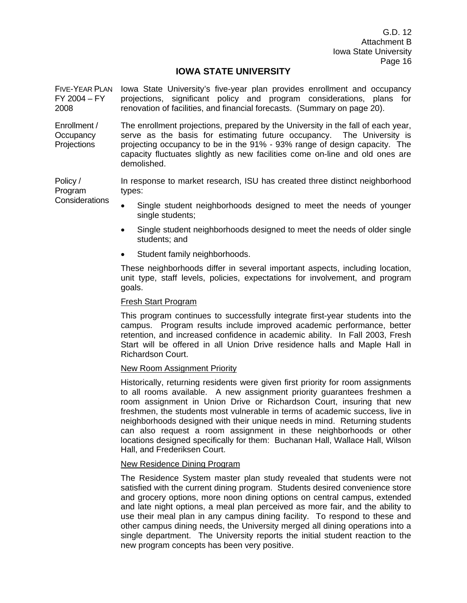### **IOWA STATE UNIVERSITY**

FIVE-YEAR PLAN FY 2004 – FY 2008 Iowa State University's five-year plan provides enrollment and occupancy projections, significant policy and program considerations, plans for renovation of facilities, and financial forecasts. (Summary on page 20).

Enrollment / **Occupancy Projections** The enrollment projections, prepared by the University in the fall of each year, serve as the basis for estimating future occupancy. The University is projecting occupancy to be in the 91% - 93% range of design capacity. The capacity fluctuates slightly as new facilities come on-line and old ones are demolished.

Policy / Program **Considerations** In response to market research, ISU has created three distinct neighborhood types:

• Single student neighborhoods designed to meet the needs of younger single students;

- Single student neighborhoods designed to meet the needs of older single students; and
- Student family neighborhoods.

These neighborhoods differ in several important aspects, including location, unit type, staff levels, policies, expectations for involvement, and program goals.

#### Fresh Start Program

This program continues to successfully integrate first-year students into the campus. Program results include improved academic performance, better retention, and increased confidence in academic ability. In Fall 2003, Fresh Start will be offered in all Union Drive residence halls and Maple Hall in Richardson Court.

#### New Room Assignment Priority

Historically, returning residents were given first priority for room assignments to all rooms available. A new assignment priority guarantees freshmen a room assignment in Union Drive or Richardson Court, insuring that new freshmen, the students most vulnerable in terms of academic success, live in neighborhoods designed with their unique needs in mind. Returning students can also request a room assignment in these neighborhoods or other locations designed specifically for them: Buchanan Hall, Wallace Hall, Wilson Hall, and Frederiksen Court.

#### New Residence Dining Program

The Residence System master plan study revealed that students were not satisfied with the current dining program. Students desired convenience store and grocery options, more noon dining options on central campus, extended and late night options, a meal plan perceived as more fair, and the ability to use their meal plan in any campus dining facility. To respond to these and other campus dining needs, the University merged all dining operations into a single department. The University reports the initial student reaction to the new program concepts has been very positive.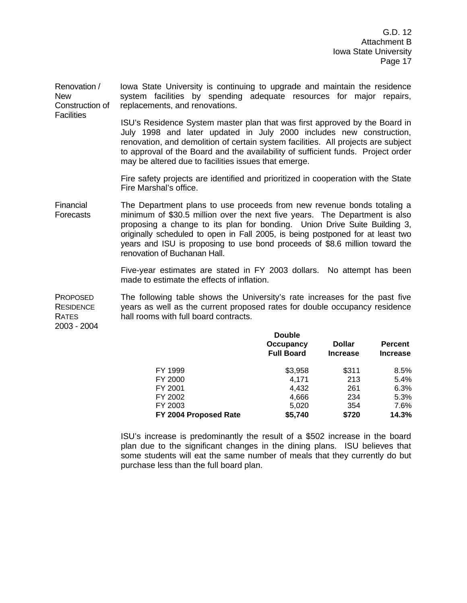Renovation / **New** Construction of **Facilities** Iowa State University is continuing to upgrade and maintain the residence system facilities by spending adequate resources for major repairs, replacements, and renovations.

> ISU's Residence System master plan that was first approved by the Board in July 1998 and later updated in July 2000 includes new construction, renovation, and demolition of certain system facilities. All projects are subject to approval of the Board and the availability of sufficient funds. Project order may be altered due to facilities issues that emerge.

> Fire safety projects are identified and prioritized in cooperation with the State Fire Marshal's office.

Financial **Forecasts** The Department plans to use proceeds from new revenue bonds totaling a minimum of \$30.5 million over the next five years. The Department is also proposing a change to its plan for bonding. Union Drive Suite Building 3, originally scheduled to open in Fall 2005, is being postponed for at least two years and ISU is proposing to use bond proceeds of \$8.6 million toward the renovation of Buchanan Hall.

> Five-year estimates are stated in FY 2003 dollars. No attempt has been made to estimate the effects of inflation.

PROPOSED **RESIDENCE** RATES The following table shows the University's rate increases for the past five years as well as the current proposed rates for double occupancy residence hall rooms with full board contracts.

|                       | <b>Double</b><br>Occupancy<br><b>Full Board</b> | <b>Dollar</b><br><b>Increase</b> | <b>Percent</b><br><b>Increase</b> |
|-----------------------|-------------------------------------------------|----------------------------------|-----------------------------------|
| FY 1999               | \$3,958                                         | \$311                            | 8.5%                              |
| FY 2000               | 4,171                                           | 213                              | 5.4%                              |
| FY 2001               | 4,432                                           | 261                              | 6.3%                              |
| FY 2002               | 4,666                                           | 234                              | 5.3%                              |
| FY 2003               | 5,020                                           | 354                              | 7.6%                              |
| FY 2004 Proposed Rate | \$5,740                                         | \$720                            | 14.3%                             |

 ISU's increase is predominantly the result of a \$502 increase in the board plan due to the significant changes in the dining plans. ISU believes that some students will eat the same number of meals that they currently do but purchase less than the full board plan.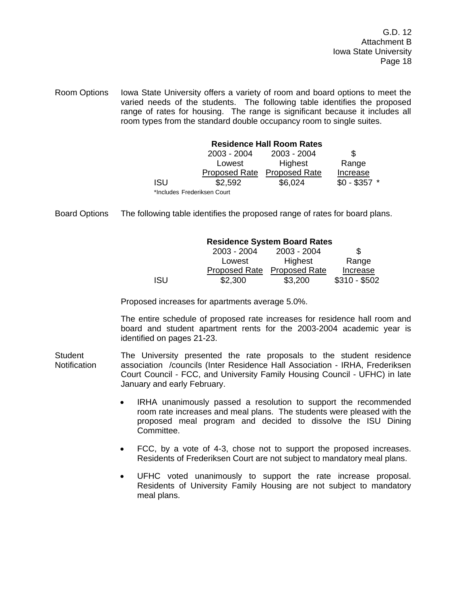Room Options Iowa State University offers a variety of room and board options to meet the varied needs of the students. The following table identifies the proposed range of rates for housing. The range is significant because it includes all room types from the standard double occupancy room to single suites.

| <b>Residence Hall Room Rates</b> |                      |                      |               |  |
|----------------------------------|----------------------|----------------------|---------------|--|
|                                  | $2003 - 2004$        | 2003 - 2004          | S             |  |
|                                  | Lowest               | Highest              | Range         |  |
|                                  | <b>Proposed Rate</b> | <b>Proposed Rate</b> | Increase      |  |
| <b>ISU</b>                       | \$2,592              | \$6,024              | $$0 - $357$ * |  |
| *Includes Frederiksen Court      |                      |                      |               |  |

Board Options The following table identifies the proposed range of rates for board plans.

| <b>Residence System Board Rates</b> |  |  |
|-------------------------------------|--|--|
|                                     |  |  |

|     | 2003 - 2004 | 2003 - 2004                 | \$.           |
|-----|-------------|-----------------------------|---------------|
|     | Lowest      | Highest                     | Range         |
|     |             | Proposed Rate Proposed Rate | Increase      |
| ISU | \$2,300     | \$3,200                     | $$310 - $502$ |

Proposed increases for apartments average 5.0%.

The entire schedule of proposed rate increases for residence hall room and board and student apartment rents for the 2003-2004 academic year is identified on pages 21-23.

**Student Notification** The University presented the rate proposals to the student residence association /councils (Inter Residence Hall Association - IRHA, Frederiksen Court Council - FCC, and University Family Housing Council - UFHC) in late January and early February.

- IRHA unanimously passed a resolution to support the recommended room rate increases and meal plans. The students were pleased with the proposed meal program and decided to dissolve the ISU Dining Committee.
- FCC, by a vote of 4-3, chose not to support the proposed increases. Residents of Frederiksen Court are not subject to mandatory meal plans.
- UFHC voted unanimously to support the rate increase proposal. Residents of University Family Housing are not subject to mandatory meal plans.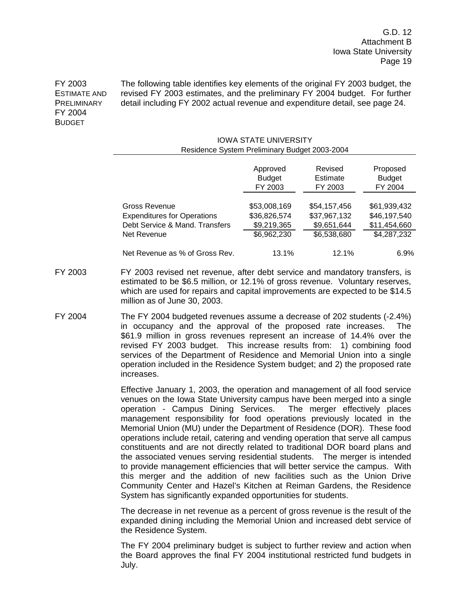FY 2003 ESTIMATE AND **PRELIMINARY** FY 2004 The following table identifies key elements of the original FY 2003 budget, the revised FY 2003 estimates, and the preliminary FY 2004 budget. For further detail including FY 2002 actual revenue and expenditure detail, see page 24.

**BUDGET** 

| <u>IUWA STATE UNIVERSITY</u>                  |                                      |              |              |  |  |  |
|-----------------------------------------------|--------------------------------------|--------------|--------------|--|--|--|
| Residence System Preliminary Budget 2003-2004 |                                      |              |              |  |  |  |
|                                               | Proposed<br><b>Budget</b><br>FY 2004 |              |              |  |  |  |
| Gross Revenue                                 | \$53,008,169                         | \$54,157,456 | \$61,939,432 |  |  |  |
| <b>Expenditures for Operations</b>            | \$36,826,574                         | \$37,967,132 | \$46,197,540 |  |  |  |
| Debt Service & Mand. Transfers                | \$9,219,365                          | \$9,651,644  | \$11,454,660 |  |  |  |
| Net Revenue                                   | \$6,962,230                          | \$6,538,680  | \$4,287,232  |  |  |  |
| Net Revenue as % of Gross Rev.                | 13.1%                                | 12.1%        | 6.9%         |  |  |  |

 $I$ OWA  $\sigma$ TATE UNIVERSITY

- FY 2003 FY 2003 revised net revenue, after debt service and mandatory transfers, is estimated to be \$6.5 million, or 12.1% of gross revenue. Voluntary reserves, which are used for repairs and capital improvements are expected to be \$14.5 million as of June 30, 2003.
- FY 2004 The FY 2004 budgeted revenues assume a decrease of 202 students (-2.4%) in occupancy and the approval of the proposed rate increases. The \$61.9 million in gross revenues represent an increase of 14.4% over the revised FY 2003 budget. This increase results from: 1) combining food services of the Department of Residence and Memorial Union into a single operation included in the Residence System budget; and 2) the proposed rate increases.

Effective January 1, 2003, the operation and management of all food service venues on the Iowa State University campus have been merged into a single operation - Campus Dining Services. The merger effectively places management responsibility for food operations previously located in the Memorial Union (MU) under the Department of Residence (DOR). These food operations include retail, catering and vending operation that serve all campus constituents and are not directly related to traditional DOR board plans and the associated venues serving residential students. The merger is intended to provide management efficiencies that will better service the campus. With this merger and the addition of new facilities such as the Union Drive Community Center and Hazel's Kitchen at Reiman Gardens, the Residence System has significantly expanded opportunities for students.

The decrease in net revenue as a percent of gross revenue is the result of the expanded dining including the Memorial Union and increased debt service of the Residence System.

 The FY 2004 preliminary budget is subject to further review and action when the Board approves the final FY 2004 institutional restricted fund budgets in July.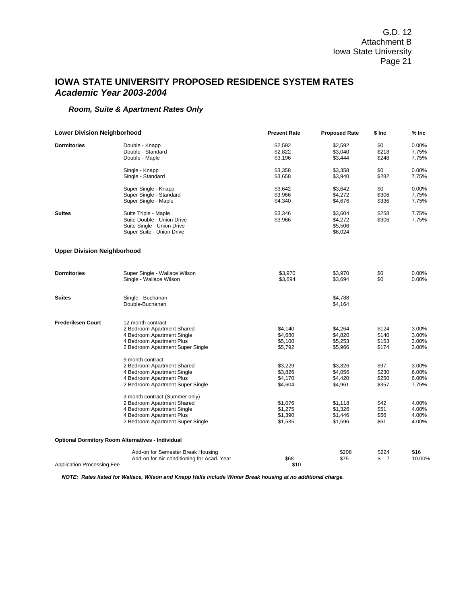# **IOWA STATE UNIVERSITY PROPOSED RESIDENCE SYSTEM RATES**  *Academic Year 2003-2004*

#### *Room, Suite & Apartment Rates Only*

| <b>Lower Division Neighborhood</b> |                                                                                                                                                                                                                                                                                                                                                                                                                                                             | <b>Present Rate</b>                                                                                                              | <b>Proposed Rate</b>                                                                                                             | \$ Inc                                                                                              | $%$ Inc                                                                                                  |
|------------------------------------|-------------------------------------------------------------------------------------------------------------------------------------------------------------------------------------------------------------------------------------------------------------------------------------------------------------------------------------------------------------------------------------------------------------------------------------------------------------|----------------------------------------------------------------------------------------------------------------------------------|----------------------------------------------------------------------------------------------------------------------------------|-----------------------------------------------------------------------------------------------------|----------------------------------------------------------------------------------------------------------|
| <b>Dormitories</b>                 | Double - Knapp<br>Double - Standard<br>Double - Maple                                                                                                                                                                                                                                                                                                                                                                                                       | \$2,592<br>\$2,822<br>\$3,196                                                                                                    | \$2,592<br>\$3,040<br>\$3,444                                                                                                    | \$0<br>\$218<br>\$248                                                                               | 0.00%<br>7.75%<br>7.75%                                                                                  |
|                                    | Single - Knapp<br>Single - Standard                                                                                                                                                                                                                                                                                                                                                                                                                         | \$3,358<br>\$3,658                                                                                                               | \$3,358<br>\$3,940                                                                                                               | \$0<br>\$282                                                                                        | 0.00%<br>7.75%                                                                                           |
|                                    | Super Single - Knapp<br>Super Single - Standard<br>Super Single - Maple                                                                                                                                                                                                                                                                                                                                                                                     | \$3,642<br>\$3,966<br>\$4,340                                                                                                    | \$3,642<br>\$4,272<br>\$4,676                                                                                                    | \$0<br>\$306<br>\$336                                                                               | 0.00%<br>7.75%<br>7.75%                                                                                  |
| <b>Suites</b>                      | Suite Triple - Maple<br>Suite Double - Union Drive<br>Suite Single - Union Drive<br>Super Suite - Union Drive                                                                                                                                                                                                                                                                                                                                               | \$3,346<br>\$3,966                                                                                                               | \$3,604<br>\$4,272<br>\$5,506<br>\$6,024                                                                                         | \$258<br>\$306                                                                                      | 7.75%<br>7.75%                                                                                           |
| <b>Upper Division Neighborhood</b> |                                                                                                                                                                                                                                                                                                                                                                                                                                                             |                                                                                                                                  |                                                                                                                                  |                                                                                                     |                                                                                                          |
| <b>Dormitories</b>                 | Super Single - Wallace Wilson<br>Single - Wallace Wilson                                                                                                                                                                                                                                                                                                                                                                                                    | \$3,970<br>\$3,694                                                                                                               | \$3,970<br>\$3,694                                                                                                               | \$0<br>\$0                                                                                          | 0.00%<br>0.00%                                                                                           |
| Suites                             | Single - Buchanan<br>Double-Buchanan                                                                                                                                                                                                                                                                                                                                                                                                                        |                                                                                                                                  | \$4,788<br>\$4,164                                                                                                               |                                                                                                     |                                                                                                          |
| <b>Frederiksen Court</b>           | 12 month contract<br>2 Bedroom Apartment Shared<br>4 Bedroom Apartment Single<br>4 Bedroom Apartment Plus<br>2 Bedroom Apartment Super Single<br>9 month contract<br>2 Bedroom Apartment Shared<br>4 Bedroom Apartment Single<br>4 Bedroom Apartment Plus<br>2 Bedroom Apartment Super Single<br>3 month contract (Summer only)<br>2 Bedroom Apartment Shared<br>4 Bedroom Apartment Single<br>4 Bedroom Apartment Plus<br>2 Bedroom Apartment Super Single | \$4,140<br>\$4,680<br>\$5,100<br>\$5,792<br>\$3,229<br>\$3,826<br>\$4,170<br>\$4,604<br>\$1,076<br>\$1,275<br>\$1,390<br>\$1,535 | \$4,264<br>\$4,820<br>\$5,253<br>\$5,966<br>\$3,326<br>\$4,056<br>\$4,420<br>\$4,961<br>\$1,118<br>\$1,326<br>\$1,446<br>\$1,596 | \$124<br>\$140<br>\$153<br>\$174<br>\$97<br>\$230<br>\$250<br>\$357<br>\$42<br>\$51<br>\$56<br>\$61 | 3.00%<br>3.00%<br>3.00%<br>3.00%<br>3.00%<br>6.00%<br>6.00%<br>7.75%<br>4.00%<br>4.00%<br>4.00%<br>4.00% |
|                                    | <b>Optional Dormitory Room Alternatives - Individual</b>                                                                                                                                                                                                                                                                                                                                                                                                    |                                                                                                                                  |                                                                                                                                  |                                                                                                     |                                                                                                          |
| <b>Application Processing Fee</b>  | Add-on for Semester Break Housing<br>Add-on for Air-conditioning for Acad. Year                                                                                                                                                                                                                                                                                                                                                                             | \$68<br>\$10                                                                                                                     | \$208<br>\$75                                                                                                                    | \$224<br>\$7                                                                                        | \$16<br>10.00%                                                                                           |

*NOTE: Rates listed for Wallace, Wilson and Knapp Halls include Winter Break housing at no additional charge.*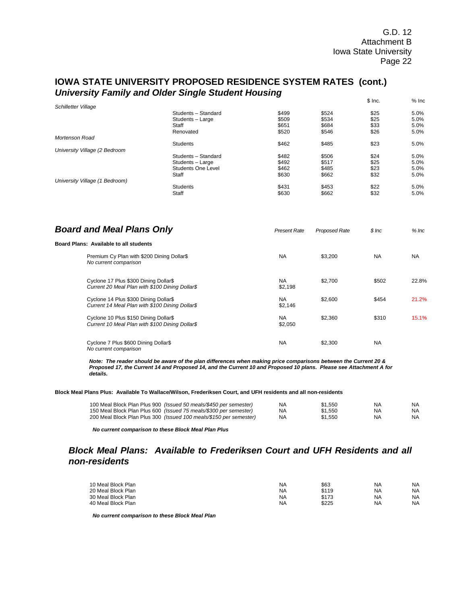## **IOWA STATE UNIVERSITY PROPOSED RESIDENCE SYSTEM RATES (cont.)**  *University Family and Older Single Student Housing*

|                           |       |       | $$$ Inc. | $%$ Inc |
|---------------------------|-------|-------|----------|---------|
|                           |       |       |          |         |
| Students - Standard       | \$499 | \$524 | \$25     | 5.0%    |
| Students - Large          | \$509 | \$534 | \$25     | 5.0%    |
| Staff                     | \$651 | \$684 | \$33     | 5.0%    |
| Renovated                 | \$520 | \$546 | \$26     | 5.0%    |
|                           |       |       |          |         |
| <b>Students</b>           | \$462 | \$485 | \$23     | 5.0%    |
|                           |       |       |          |         |
| Students - Standard       | \$482 | \$506 | \$24     | 5.0%    |
| Students - Large          | \$492 | \$517 | \$25     | 5.0%    |
| <b>Students One Level</b> | \$462 | \$485 | \$23     | 5.0%    |
| Staff                     | \$630 | \$662 | \$32     | 5.0%    |
|                           |       |       |          |         |
| <b>Students</b>           | \$431 | \$453 | \$22     | 5.0%    |
| Staff                     | \$630 | \$662 | \$32     | 5.0%    |
|                           |       |       |          |         |

| <b>Board and Meal Plans Only</b>                                                         | <b>Present Rate</b>  | Proposed Rate | $$$ Inc   | $%$ Inc   |
|------------------------------------------------------------------------------------------|----------------------|---------------|-----------|-----------|
| Board Plans: Available to all students                                                   |                      |               |           |           |
| Premium Cy Plan with \$200 Dining Dollar\$<br>No current comparison                      | <b>NA</b>            | \$3.200       | <b>NA</b> | <b>NA</b> |
| Cyclone 17 Plus \$300 Dining Dollar\$<br>Current 20 Meal Plan with \$100 Dining Dollar\$ | <b>NA</b><br>\$2,198 | \$2,700       | \$502     | 22.8%     |
| Cyclone 14 Plus \$300 Dining Dollar\$<br>Current 14 Meal Plan with \$100 Dining Dollar\$ | <b>NA</b><br>\$2,146 | \$2.600       | \$454     | 21.2%     |
| Cyclone 10 Plus \$150 Dining Dollar\$<br>Current 10 Meal Plan with \$100 Dining Dollar\$ | <b>NA</b><br>\$2,050 | \$2.360       | \$310     | 15.1%     |
| Cyclone 7 Plus \$600 Dining Dollar\$<br>No current comparison                            | <b>NA</b>            | \$2,300       | <b>NA</b> |           |

*Note: The reader should be aware of the plan differences when making price comparisons between the Current 20 & Proposed 17, the Current 14 and Proposed 14, and the Current 10 and Proposed 10 plans. Please see Attachment A for details.* 

**Block Meal Plans Plus: Available To Wallace/Wilson, Frederiksen Court, and UFH residents and all non-residents** 

| 100 Meal Block Plan Plus 900 (Issued 50 meals/\$450 per semester)  | NA        | \$1,550 | NA        | <b>NA</b> |
|--------------------------------------------------------------------|-----------|---------|-----------|-----------|
| 150 Meal Block Plan Plus 600 (Issued 75 meals/\$300 per semester)  | NA        | \$1,550 | <b>NA</b> | <b>NA</b> |
| 200 Meal Block Plan Plus 300 (Issued 100 meals/\$150 per semester) | <b>NA</b> | \$1.550 | <b>NA</b> | <b>NA</b> |
|                                                                    |           |         |           |           |

 *No current comparison to these Block Meal Plan Plus*

## *Block Meal Plans: Available to Frederiksen Court and UFH Residents and all non-residents*

| 10 Meal Block Plan | <b>NA</b>      | \$63  | NA        | <b>NA</b> |
|--------------------|----------------|-------|-----------|-----------|
| 20 Meal Block Plan | N <sub>A</sub> | \$119 | <b>NA</b> | <b>NA</b> |
| 30 Meal Block Plan | <b>NA</b>      | \$173 | NA        | <b>NA</b> |
| 40 Meal Block Plan | <b>NA</b>      | \$225 | NA        | <b>NA</b> |

 *No current comparison to these Block Meal Plan*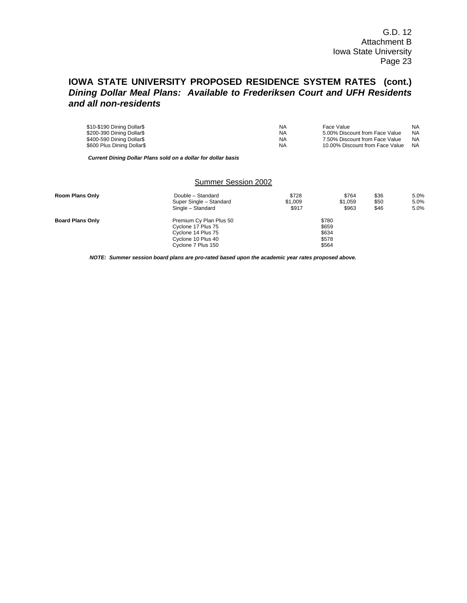## **IOWA STATE UNIVERSITY PROPOSED RESIDENCE SYSTEM RATES (cont.)** *Dining Dollar Meal Plans: Available to Frederiksen Court and UFH Residents and all non-residents*

| \$10-\$190 Dining Dollar\$ | <b>NA</b> | Face Value                      | <b>NA</b> |
|----------------------------|-----------|---------------------------------|-----------|
| \$200-390 Dining Dollar\$  | <b>NA</b> | 5.00% Discount from Face Value  | <b>NA</b> |
| \$400-590 Dining Dollar\$  | <b>NA</b> | 7.50% Discount from Face Value  | <b>NA</b> |
| \$600 Plus Dining Dollar\$ | <b>NA</b> | 10.00% Discount from Face Value | <b>NA</b> |
|                            |           |                                 |           |

 *Current Dining Dollar Plans sold on a dollar for dollar basis*

#### Summer Session 2002

| Room Plans Only         | Double - Standard                                                                                               | \$728   | \$764                                     | \$36 | 5.0% |
|-------------------------|-----------------------------------------------------------------------------------------------------------------|---------|-------------------------------------------|------|------|
|                         | Super Single - Standard                                                                                         | \$1.009 | \$1,059                                   | \$50 | 5.0% |
|                         | Single - Standard                                                                                               | \$917   | \$963                                     | \$46 | 5.0% |
| <b>Board Plans Only</b> | Premium Cy Plan Plus 50<br>Cyclone 17 Plus 75<br>Cyclone 14 Plus 75<br>Cyclone 10 Plus 40<br>Cyclone 7 Plus 150 |         | \$780<br>\$659<br>\$634<br>\$578<br>\$564 |      |      |

 *NOTE: Summer session board plans are pro-rated based upon the academic year rates proposed above.*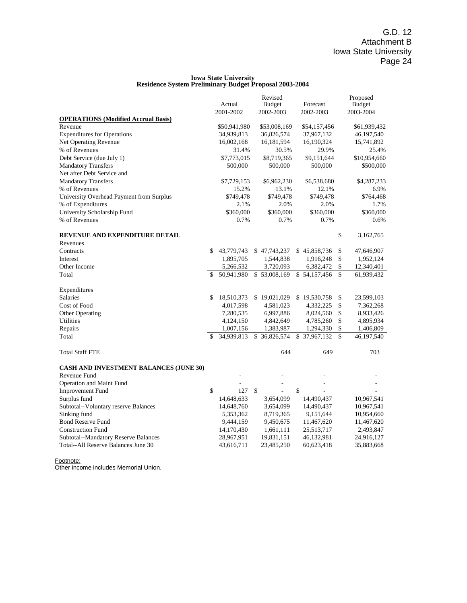#### **Iowa State University Residence System Preliminary Budget Proposal 2003-2004**

|                                               |                  |               | Revised                 |              |                               | Proposed      |
|-----------------------------------------------|------------------|---------------|-------------------------|--------------|-------------------------------|---------------|
|                                               | Actual           |               | <b>Budget</b>           | Forecast     |                               | <b>Budget</b> |
|                                               | 2001-2002        |               | 2002-2003               | 2002-2003    |                               | 2003-2004     |
| <b>OPERATIONS</b> (Modified Accrual Basis)    |                  |               |                         |              |                               |               |
| Revenue                                       | \$50,941,980     |               | \$53,008,169            | \$54,157,456 |                               | \$61,939,432  |
| <b>Expenditures for Operations</b>            | 34,939,813       |               | 36,826,574              | 37,967,132   |                               | 46, 197, 540  |
| Net Operating Revenue                         | 16,002,168       |               | 16,181,594              | 16,190,324   |                               | 15,741,892    |
| % of Revenues                                 | 31.4%            |               | 30.5%                   | 29.9%        |                               | 25.4%         |
| Debt Service (due July 1)                     | \$7,773,015      |               | \$8,719,365             | \$9,151,644  |                               | \$10,954,660  |
| <b>Mandatory Transfers</b>                    | 500,000          |               | 500,000                 | 500,000      |                               | \$500,000     |
| Net after Debt Service and                    |                  |               |                         |              |                               |               |
| <b>Mandatory Transfers</b>                    | \$7,729,153      |               | \$6,962,230             | \$6,538,680  |                               | \$4,287,233   |
| % of Revenues                                 | 15.2%            |               | 13.1%                   | 12.1%        |                               | 6.9%          |
| University Overhead Payment from Surplus      | \$749,478        |               | \$749,478               | \$749,478    |                               | \$764,468     |
| % of Expenditures                             | 2.1%             |               | 2.0%                    | 2.0%         |                               | 1.7%          |
| University Scholarship Fund                   | \$360,000        |               | \$360,000               | \$360,000    |                               | \$360,000     |
| % of Revenues                                 | 0.7%             |               | 0.7%                    | 0.7%         |                               | 0.6%          |
|                                               |                  |               |                         |              |                               |               |
| REVENUE AND EXPENDITURE DETAIL<br>Revenues    |                  |               |                         |              | \$                            | 3,162,765     |
| Contracts                                     | \$<br>43,779,743 |               | \$47,743,237            | \$45,858,736 | \$                            | 47,646,907    |
| Interest                                      |                  |               |                         |              | \$                            |               |
|                                               | 1,895,705        |               | 1,544,838               | 1,916,248    |                               | 1,952,124     |
| Other Income                                  | 5,266,532        |               | 3,720,093               | 6,382,472    | \$<br>$\overline{\mathbb{S}}$ | 12,340,401    |
| Total                                         | 50,941,980       |               | \$53,008,169            | \$54,157,456 |                               | 61,939,432    |
|                                               |                  |               |                         |              |                               |               |
| Expenditures                                  |                  |               |                         |              |                               |               |
| <b>Salaries</b>                               | \$<br>18,510,373 |               | \$19,021,029            | \$19,530,758 | \$                            | 23,599,103    |
| Cost of Food                                  | 4,017,598        |               | 4,581,023               | 4,332,225    | \$                            | 7,362,268     |
| Other Operating                               | 7,280,535        |               | 6,997,886               | 8,024,560    | \$                            | 8,933,426     |
| Utilities                                     | 4,124,150        |               | 4,842,649               | 4,785,260    | \$                            | 4,895,934     |
| Repairs                                       | 1,007,156        |               | 1,383,987               | 1,294,330    | \$                            | 1,406,809     |
| Total                                         | \$<br>34,939,813 |               | $\overline{36,826,574}$ | \$37,967,132 | $\overline{\mathbb{S}}$       | 46,197,540    |
| <b>Total Staff FTE</b>                        |                  |               | 644                     | 649          |                               | 703           |
|                                               |                  |               |                         |              |                               |               |
| <b>CASH AND INVESTMENT BALANCES (JUNE 30)</b> |                  |               |                         |              |                               |               |
| Revenue Fund                                  |                  |               |                         |              |                               |               |
| Operation and Maint Fund                      |                  |               |                         |              |                               |               |
| <b>Improvement Fund</b>                       | \$<br>127        | $\mathcal{S}$ |                         | \$           |                               |               |
| Surplus fund                                  | 14,648,633       |               | 3,654,099               | 14,490,437   |                               | 10,967,541    |
| Subtotal--Voluntary reserve Balances          | 14,648,760       |               | 3,654,099               | 14,490,437   |                               | 10,967,541    |
| Sinking fund                                  | 5,353,362        |               | 8,719,365               | 9,151,644    |                               | 10,954,660    |
| <b>Bond Reserve Fund</b>                      | 9,444,159        |               | 9,450,675               | 11,467,620   |                               | 11,467,620    |
| <b>Construction Fund</b>                      | 14,170,430       |               | 1,661,111               | 25,513,717   |                               | 2,493,847     |
| Subtotal--Mandatory Reserve Balances          | 28,967,951       |               | 19,831,151              | 46,132,981   |                               | 24,916,127    |
| Total--All Reserve Balances June 30           | 43,616,711       |               | 23,485,250              | 60,623,418   |                               | 35,883,668    |
|                                               |                  |               |                         |              |                               |               |

Footnote:

Other income includes Memorial Union.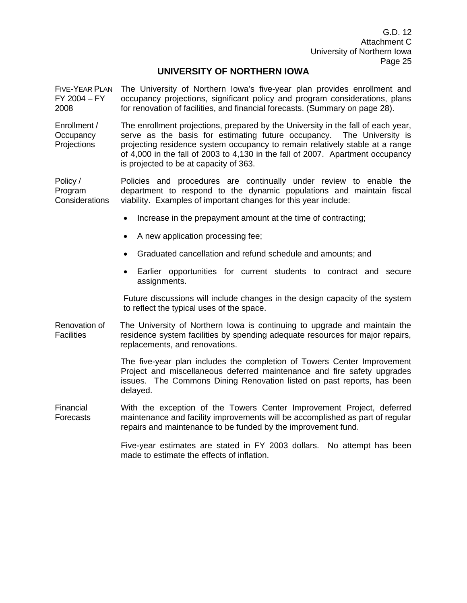#### **UNIVERSITY OF NORTHERN IOWA**

FIVE-YEAR PLAN FY 2004 – FY 2008 The University of Northern Iowa's five-year plan provides enrollment and occupancy projections, significant policy and program considerations, plans for renovation of facilities, and financial forecasts. (Summary on page 28).

Enrollment / **Occupancy Projections** The enrollment projections, prepared by the University in the fall of each year, serve as the basis for estimating future occupancy. The University is projecting residence system occupancy to remain relatively stable at a range of 4,000 in the fall of 2003 to 4,130 in the fall of 2007. Apartment occupancy is projected to be at capacity of 363.

Policy / Program **Considerations** Policies and procedures are continually under review to enable the department to respond to the dynamic populations and maintain fiscal viability. Examples of important changes for this year include:

- Increase in the prepayment amount at the time of contracting;
- A new application processing fee;
- Graduated cancellation and refund schedule and amounts; and
- Earlier opportunities for current students to contract and secure assignments.

Future discussions will include changes in the design capacity of the system to reflect the typical uses of the space.

Renovation of **Facilities** The University of Northern Iowa is continuing to upgrade and maintain the residence system facilities by spending adequate resources for major repairs, replacements, and renovations.

> The five-year plan includes the completion of Towers Center Improvement Project and miscellaneous deferred maintenance and fire safety upgrades issues. The Commons Dining Renovation listed on past reports, has been delayed.

Financial Forecasts With the exception of the Towers Center Improvement Project, deferred maintenance and facility improvements will be accomplished as part of regular repairs and maintenance to be funded by the improvement fund.

> Five-year estimates are stated in FY 2003 dollars. No attempt has been made to estimate the effects of inflation.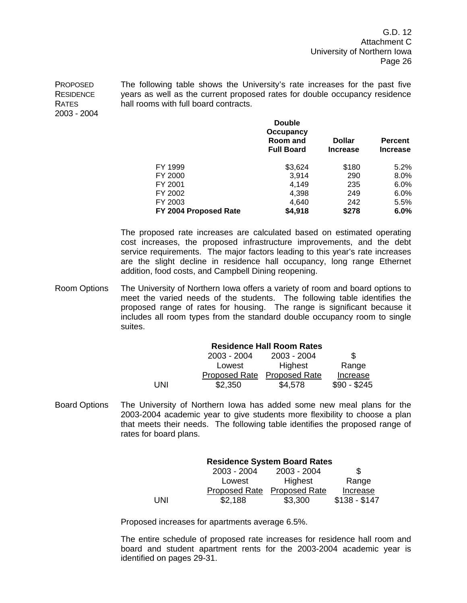PROPOSED **RESIDENCE** RATES 2003 - 2004 The following table shows the University's rate increases for the past five years as well as the current proposed rates for double occupancy residence hall rooms with full board contracts.

> **Double Occupancy Room and Full Board Dollar Increase Percent Increase** FY 1999 **\$3,624** \$180 5.2% FY 2000 3,914 290 8.0% FY 2001 4,149 235 6.0% FY 2002 4,398 249 6.0% FY 2003 4,640 242 5.5% **FY 2004 Proposed Rate \$4,918 \$278 6.0%**

 The proposed rate increases are calculated based on estimated operating cost increases, the proposed infrastructure improvements, and the debt service requirements. The major factors leading to this year's rate increases are the slight decline in residence hall occupancy, long range Ethernet addition, food costs, and Campbell Dining reopening.

Room Options The University of Northern Iowa offers a variety of room and board options to meet the varied needs of the students. The following table identifies the proposed range of rates for housing. The range is significant because it includes all room types from the standard double occupancy room to single suites.

#### **Residence Hall Room Rates**

|     | 2003 - 2004 | 2003 - 2004                 | \$           |
|-----|-------------|-----------------------------|--------------|
|     | Lowest      | Highest                     | Range        |
|     |             | Proposed Rate Proposed Rate | Increase     |
| UNI | \$2,350     | \$4,578                     | $$90 - $245$ |

Board Options The University of Northern Iowa has added some new meal plans for the 2003-2004 academic year to give students more flexibility to choose a plan that meets their needs. The following table identifies the proposed range of rates for board plans.

|     | <b>Residence System Board Rates</b> |                      |               |
|-----|-------------------------------------|----------------------|---------------|
|     | 2003 - 2004                         | 2003 - 2004          | S             |
|     | Lowest                              | Highest              | Range         |
|     | <b>Proposed Rate</b>                | <b>Proposed Rate</b> | Increase      |
| UNI | \$2,188                             | \$3,300              | $$138 - $147$ |

Proposed increases for apartments average 6.5%.

The entire schedule of proposed rate increases for residence hall room and board and student apartment rents for the 2003-2004 academic year is identified on pages 29-31.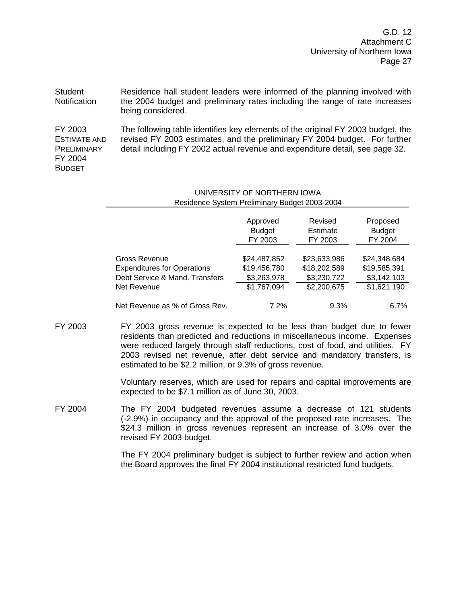Student **Notification** Residence hall student leaders were informed of the planning involved with the 2004 budget and preliminary rates including the range of rate increases being considered.

BUDGET

FY 2003 ESTIMATE AND **PRELIMINARY** FY 2004 The following table identifies key elements of the original FY 2003 budget, the revised FY 2003 estimates, and the preliminary FY 2004 budget. For further detail including FY 2002 actual revenue and expenditure detail, see page 32.

|                                    | UNIVERSITY OF NORTHERN IOWA                   |                                |                                      |
|------------------------------------|-----------------------------------------------|--------------------------------|--------------------------------------|
|                                    | Residence System Preliminary Budget 2003-2004 |                                |                                      |
|                                    | Approved<br><b>Budget</b><br>FY 2003          | Revised<br>Estimate<br>FY 2003 | Proposed<br><b>Budget</b><br>FY 2004 |
| Gross Revenue                      | \$24,487,852                                  | \$23,633,986                   | \$24,348,684                         |
| <b>Expenditures for Operations</b> | \$19,456,780                                  | \$18,202,589                   | \$19,585,391                         |
| Debt Service & Mand. Transfers     | \$3,263,978                                   | \$3,230,722                    | \$3,142,103                          |
| Net Revenue                        | \$1,767,094                                   | \$2,200,675                    | \$1,621,190                          |
| Net Revenue as % of Gross Rev.     | 7.2%                                          | 9.3%                           | 6.7%                                 |

# FY 2003 FY 2003 gross revenue is expected to be less than budget due to fewer Net Revenue as % of Gross Rev.  $7.2\%$  9.3% 6.7%

residents than predicted and reductions in miscellaneous income. Expenses were reduced largely through staff reductions, cost of food, and utilities. FY 2003 revised net revenue, after debt service and mandatory transfers, is estimated to be \$2.2 million, or 9.3% of gross revenue.

> Voluntary reserves, which are used for repairs and capital improvements are expected to be \$7.1 million as of June 30, 2003.

FY 2004 The FY 2004 budgeted revenues assume a decrease of 121 students (-2.9%) in occupancy and the approval of the proposed rate increases. The \$24.3 million in gross revenues represent an increase of 3.0% over the revised FY 2003 budget.

> The FY 2004 preliminary budget is subject to further review and action when the Board approves the final FY 2004 institutional restricted fund budgets.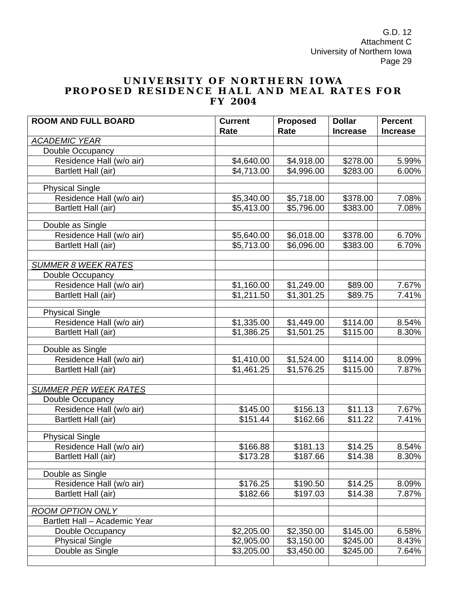## **UNIVERSITY OF NORTHERN IOWA PROPOSED RESIDENCE HALL AND MEAL RATES FOR FY 2004**

| <b>ROOM AND FULL BOARD</b>    | <b>Current</b><br>Rate  | <b>Proposed</b><br>Rate | <b>Dollar</b><br><b>Increase</b> | <b>Percent</b><br><b>Increase</b> |  |
|-------------------------------|-------------------------|-------------------------|----------------------------------|-----------------------------------|--|
| <b>ACADEMIC YEAR</b>          |                         |                         |                                  |                                   |  |
| Double Occupancy              |                         |                         |                                  |                                   |  |
| Residence Hall (w/o air)      | \$4,640.00              | \$4,918.00<br>\$278.00  |                                  | 5.99%                             |  |
| Bartlett Hall (air)           | \$4,713.00              | \$4,996.00              | \$283.00                         | 6.00%                             |  |
|                               |                         |                         |                                  |                                   |  |
| <b>Physical Single</b>        |                         |                         |                                  |                                   |  |
| Residence Hall (w/o air)      | \$5,340.00              | \$5,718.00              | \$378.00                         | 7.08%                             |  |
| Bartlett Hall (air)           | \$5,413.00              | \$5,796.00              | \$383.00                         | 7.08%                             |  |
| Double as Single              |                         |                         |                                  |                                   |  |
| Residence Hall (w/o air)      | $\overline{$}5,640.00$  | \$6,018.00              | \$378.00                         | 6.70%                             |  |
| Bartlett Hall (air)           | \$5,713.00              | \$6,096.00              | \$383.00                         | 6.70%                             |  |
|                               |                         |                         |                                  |                                   |  |
| <b>SUMMER 8 WEEK RATES</b>    |                         |                         |                                  |                                   |  |
| Double Occupancy              |                         |                         |                                  |                                   |  |
| Residence Hall (w/o air)      | \$1,160.00              | \$1,249.00              | \$89.00                          | 7.67%                             |  |
| Bartlett Hall (air)           | \$1,211.50              | \$1,301.25              | \$89.75                          | 7.41%                             |  |
|                               |                         |                         |                                  |                                   |  |
| Physical Single               |                         |                         |                                  |                                   |  |
| Residence Hall (w/o air)      | \$1,335.00              | \$1,449.00              | \$114.00                         | 8.54%                             |  |
| Bartlett Hall (air)           | $\overline{\$}1,386.25$ | $\overline{31}, 501.25$ | \$115.00                         | 8.30%                             |  |
| Double as Single              |                         |                         |                                  |                                   |  |
| Residence Hall (w/o air)      | \$1,410.00              | \$1,524.00              | \$114.00                         | 8.09%                             |  |
| Bartlett Hall (air)           | \$1,461.25              | \$1,576.25              | \$115.00                         | 7.87%                             |  |
|                               |                         |                         |                                  |                                   |  |
| <b>SUMMER PER WEEK RATES</b>  |                         |                         |                                  |                                   |  |
| Double Occupancy              |                         |                         |                                  |                                   |  |
| Residence Hall (w/o air)      | \$145.00                | \$156.13<br>\$11.13     |                                  | 7.67%                             |  |
| Bartlett Hall (air)           | \$151.44                | \$162.66<br>\$11.22     |                                  | 7.41%                             |  |
|                               |                         |                         |                                  |                                   |  |
| <b>Physical Single</b>        |                         |                         |                                  |                                   |  |
| Residence Hall (w/o air)      | $\overline{$}166.88$    | \$181.13                | \$14.25                          | 8.54%                             |  |
| <b>Bartlett Hall (air)</b>    | \$173.28                | \$187.66                | \$14.38                          | 8.30%                             |  |
| Double as Single              |                         |                         |                                  |                                   |  |
| Residence Hall (w/o air)      | \$176.25                | \$190.50                | \$14.25                          | 8.09%                             |  |
| Bartlett Hall (air)           | \$182.66                | \$197.03                | \$14.38                          | 7.87%                             |  |
|                               |                         |                         |                                  |                                   |  |
| <b>ROOM OPTION ONLY</b>       |                         |                         |                                  |                                   |  |
| Bartlett Hall - Academic Year |                         |                         |                                  |                                   |  |
| Double Occupancy              | \$2,205.00              | \$2,350.00              | \$145.00                         | 6.58%                             |  |
| <b>Physical Single</b>        | \$2,905.00              | \$3,150.00              | \$245.00                         | 8.43%                             |  |
| Double as Single              | \$3,205.00              | \$3,450.00              | \$245.00                         | 7.64%                             |  |
|                               |                         |                         |                                  |                                   |  |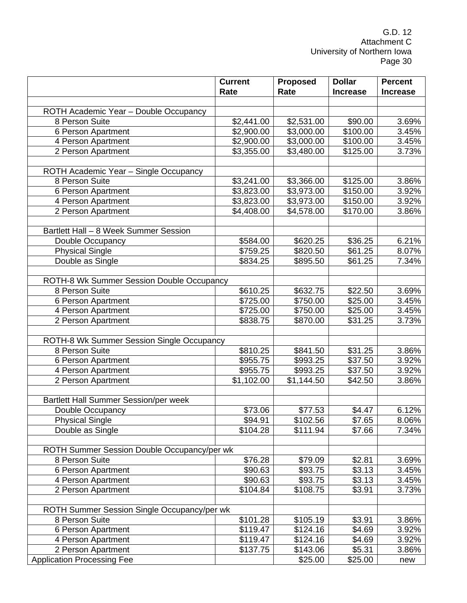|                                             | <b>Current</b>                  | <b>Dollar</b><br><b>Proposed</b> |                       | <b>Percent</b>  |  |
|---------------------------------------------|---------------------------------|----------------------------------|-----------------------|-----------------|--|
|                                             | Rate                            | Rate                             | <b>Increase</b>       | <b>Increase</b> |  |
|                                             |                                 |                                  |                       |                 |  |
| ROTH Academic Year - Double Occupancy       |                                 |                                  |                       |                 |  |
| 8 Person Suite                              | \$2,441.00                      | $\overline{$}2,531.00$           | \$90.00               | 3.69%           |  |
| 6 Person Apartment                          | \$2,900.00                      | \$3,000.00                       | \$100.00              | 3.45%           |  |
| 4 Person Apartment                          | \$2,900.00                      | \$3,000.00                       | \$100.00              | 3.45%           |  |
| 2 Person Apartment                          | \$3,355.00                      | \$3,480.00                       | \$125.00              | 3.73%           |  |
| ROTH Academic Year - Single Occupancy       |                                 |                                  |                       |                 |  |
| 8 Person Suite                              | \$3,241.00                      | \$3,366.00                       | \$125.00              | 3.86%           |  |
| 6 Person Apartment                          | \$3,823.00                      | \$3,973.00                       | \$150.00              | 3.92%           |  |
| 4 Person Apartment                          | \$3,823.00                      | \$3,973.00                       | \$150.00              | 3.92%           |  |
| 2 Person Apartment                          | \$4,408.00                      | \$4,578.00                       | \$170.00              | 3.86%           |  |
|                                             |                                 |                                  |                       |                 |  |
| Bartlett Hall - 8 Week Summer Session       |                                 |                                  |                       |                 |  |
| Double Occupancy                            | \$584.00                        | \$620.25                         | \$36.25               | 6.21%           |  |
| <b>Physical Single</b>                      | \$759.25                        | \$820.50                         | \$61.25               | 8.07%           |  |
| Double as Single                            | \$834.25                        | \$895.50                         | \$61.25               | 7.34%           |  |
|                                             |                                 |                                  |                       |                 |  |
| ROTH-8 Wk Summer Session Double Occupancy   |                                 |                                  |                       |                 |  |
| 8 Person Suite                              | \$610.25                        | \$632.75                         | \$22.50               | 3.69%           |  |
| 6 Person Apartment                          | \$725.00                        | \$750.00                         | \$25.00               | 3.45%           |  |
| 4 Person Apartment                          | \$725.00                        | \$750.00                         | \$25.00               | 3.45%           |  |
| 2 Person Apartment                          | \$838.75                        | \$870.00                         | \$31.25               | 3.73%           |  |
|                                             |                                 |                                  |                       |                 |  |
| ROTH-8 Wk Summer Session Single Occupancy   |                                 |                                  |                       |                 |  |
| 8 Person Suite                              | \$31.25<br>\$810.25<br>\$841.50 | 3.86%                            |                       |                 |  |
| 6 Person Apartment                          | \$955.75                        | \$993.25<br>\$37.50              |                       | 3.92%           |  |
| 4 Person Apartment                          | \$955.75                        | \$993.25<br>\$37.50              |                       | 3.92%           |  |
| 2 Person Apartment                          | \$1,102.00                      |                                  | \$1,144.50<br>\$42.50 |                 |  |
|                                             |                                 |                                  |                       | 3.86%           |  |
| Bartlett Hall Summer Session/per week       |                                 |                                  |                       |                 |  |
| Double Occupancy                            | \$73.06                         | \$77.53<br>\$4.47                |                       | 6.12%           |  |
| <b>Physical Single</b>                      | \$94.91                         | \$102.56<br>\$7.65               |                       | 8.06%           |  |
| Double as Single                            | \$104.28                        | \$111.94                         | \$7.66                | 7.34%           |  |
|                                             |                                 |                                  |                       |                 |  |
| ROTH Summer Session Double Occupancy/per wk |                                 |                                  |                       |                 |  |
| 8 Person Suite                              | \$76.28                         | \$79.09                          | \$2.81                | 3.69%           |  |
| 6 Person Apartment                          | \$90.63                         | \$93.75                          | \$3.13                | 3.45%           |  |
| 4 Person Apartment                          | \$90.63                         | \$93.75                          | \$3.13                | 3.45%           |  |
| 2 Person Apartment                          | \$104.84                        | \$108.75                         | \$3.91                | 3.73%           |  |
|                                             |                                 |                                  |                       |                 |  |
| ROTH Summer Session Single Occupancy/per wk |                                 |                                  |                       |                 |  |
| 8 Person Suite                              | \$101.28                        | \$105.19                         | \$3.91                | 3.86%           |  |
| 6 Person Apartment                          | \$119.47                        | \$124.16                         | \$4.69                | 3.92%           |  |
| 4 Person Apartment                          | \$119.47                        | \$124.16<br>\$4.69               |                       | 3.92%<br>3.86%  |  |
| 2 Person Apartment                          | \$137.75                        |                                  | \$5.31<br>\$143.06    |                 |  |
| <b>Application Processing Fee</b>           |                                 | \$25.00                          | \$25.00               | new             |  |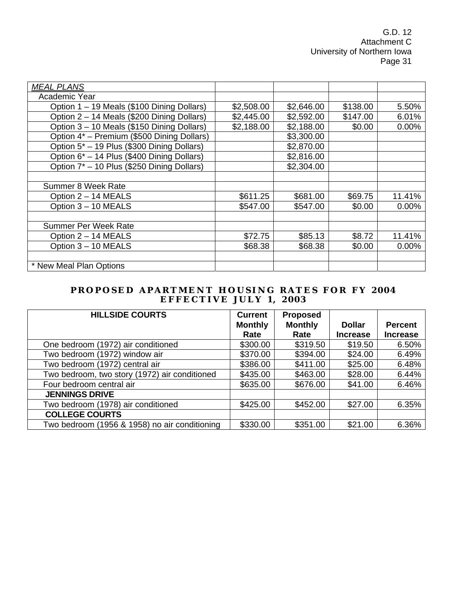| <b>MEAL PLANS</b>                                      |            |            |          |          |
|--------------------------------------------------------|------------|------------|----------|----------|
| Academic Year                                          |            |            |          |          |
| Option 1 - 19 Meals (\$100 Dining Dollars)             | \$2,508.00 | \$2,646.00 | \$138.00 | 5.50%    |
| Option 2 - 14 Meals (\$200 Dining Dollars)             | \$2,445.00 | \$2,592.00 | \$147.00 | 6.01%    |
| Option 3 - 10 Meals (\$150 Dining Dollars)             | \$2,188.00 | \$2,188.00 | \$0.00   | 0.00%    |
| Option 4* - Premium (\$500 Dining Dollars)             |            | \$3,300.00 |          |          |
| Option 5 <sup>*</sup> - 19 Plus (\$300 Dining Dollars) |            | \$2,870.00 |          |          |
| Option 6* - 14 Plus (\$400 Dining Dollars)             |            | \$2,816.00 |          |          |
| Option 7* - 10 Plus (\$250 Dining Dollars)             |            | \$2,304.00 |          |          |
|                                                        |            |            |          |          |
| Summer 8 Week Rate                                     |            |            |          |          |
| Option 2 - 14 MEALS                                    | \$611.25   | \$681.00   | \$69.75  | 11.41%   |
| Option 3 - 10 MEALS                                    | \$547.00   | \$547.00   | \$0.00   | $0.00\%$ |
|                                                        |            |            |          |          |
| <b>Summer Per Week Rate</b>                            |            |            |          |          |
| Option 2 - 14 MEALS                                    | \$72.75    | \$85.13    | \$8.72   | 11.41%   |
| Option 3 - 10 MEALS                                    | \$68.38    | \$68.38    | \$0.00   | $0.00\%$ |
|                                                        |            |            |          |          |
| * New Meal Plan Options                                |            |            |          |          |

## **PROPOSED APARTMENT HOUSING RATES FOR FY 2004 EFFECTIVE JULY 1, 2003**

| <b>HILLSIDE COURTS</b>                        | <b>Current</b> | <b>Proposed</b> |                 |                 |
|-----------------------------------------------|----------------|-----------------|-----------------|-----------------|
|                                               | <b>Monthly</b> | <b>Monthly</b>  | <b>Dollar</b>   | <b>Percent</b>  |
|                                               | Rate           | Rate            | <b>Increase</b> | <b>Increase</b> |
| One bedroom (1972) air conditioned            | \$300.00       | \$319.50        | \$19.50         | 6.50%           |
| Two bedroom (1972) window air                 | \$370.00       | \$394.00        | \$24.00         | 6.49%           |
| Two bedroom (1972) central air                | \$386.00       | \$411.00        | \$25.00         | 6.48%           |
| Two bedroom, two story (1972) air conditioned | \$435.00       | \$463.00        | \$28.00         | 6.44%           |
| Four bedroom central air                      | \$635.00       | \$676.00        | \$41.00         | 6.46%           |
| <b>JENNINGS DRIVE</b>                         |                |                 |                 |                 |
| Two bedroom (1978) air conditioned            | \$425.00       | \$452.00        | \$27.00         | 6.35%           |
| <b>COLLEGE COURTS</b>                         |                |                 |                 |                 |
| Two bedroom (1956 & 1958) no air conditioning | \$330.00       | \$351.00        | \$21.00         | 6.36%           |